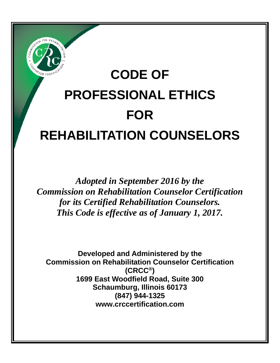

# **CODE OF PROFESSIONAL ETHICS FOR REHABILITATION COUNSELORS**

*Adopted in September 2016 by the Commission on Rehabilitation Counselor Certification for its Certified Rehabilitation Counselors. This Code is effective as of January 1, 2017.* 

**Developed and Administered by the Commission on Rehabilitation Counselor Certification (CRCC®) 1699 East Woodfield Road, Suite 300 Schaumburg, Illinois 60173 (847) 944-1325 www.crccertification.com**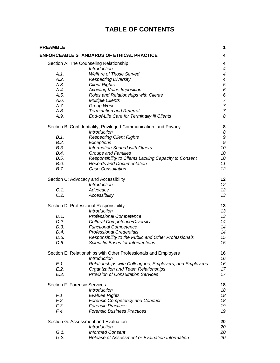## **TABLE OF CONTENTS**

| <b>PREAMBLE</b>                                        |                                                                                          | 1                        |
|--------------------------------------------------------|------------------------------------------------------------------------------------------|--------------------------|
|                                                        | <b>ENFORCEABLE STANDARDS OF ETHICAL PRACTICE</b>                                         | 4                        |
| Section A: The Counseling Relationship<br>Introduction |                                                                                          | 4<br>4                   |
| A.1.                                                   | <b>Welfare of Those Served</b>                                                           | 4                        |
| A.2.                                                   | <b>Respecting Diversity</b>                                                              | $\overline{\mathcal{A}}$ |
| A.3.                                                   | <b>Client Rights</b>                                                                     | 5                        |
| A.4.                                                   | Avoiding Value Imposition                                                                | 6                        |
| A.5.                                                   | Roles and Relationships with Clients                                                     | 6                        |
| A.6.                                                   | <b>Multiple Clients</b>                                                                  | $\overline{7}$           |
| A.7.                                                   | Group Work                                                                               | $\overline{7}$           |
| A.8.                                                   | <b>Termination and Referral</b>                                                          | $\overline{7}$           |
| A.9.                                                   | End-of-Life Care for Terminally III Clients                                              | 8                        |
|                                                        | Section B: Confidentiality, Privileged Communication, and Privacy<br><b>Introduction</b> | 8<br>8                   |
| B.1.                                                   | <b>Respecting Client Rights</b>                                                          | 9                        |
| B.2.                                                   | Exceptions                                                                               | $\boldsymbol{9}$         |
| B.3.                                                   | <b>Information Shared with Others</b>                                                    | 10                       |
| B.4.                                                   | <b>Groups and Families</b>                                                               | 10                       |
| B.5.                                                   | Responsibility to Clients Lacking Capacity to Consent                                    | 10                       |
| B.6.                                                   | <b>Records and Documentation</b>                                                         | 11                       |
| B.7.                                                   | <b>Case Consultation</b>                                                                 | 12                       |
|                                                        |                                                                                          |                          |
|                                                        | Section C: Advocacy and Accessibility                                                    | 12                       |
|                                                        | Introduction                                                                             | 12                       |
| $C.1$ .                                                | Advocacy                                                                                 | 12                       |
| C.2.                                                   | Accessibility                                                                            | 13                       |
|                                                        | Section D: Professional Responsibility                                                   | 13                       |
|                                                        | Introduction                                                                             | 13                       |
| D.1.                                                   | <b>Professional Competence</b>                                                           | 13                       |
| D.2.                                                   | <b>Cultural Competence/Diversity</b>                                                     | 14                       |
| D.3.                                                   | <b>Functional Competence</b>                                                             | 14                       |
| D.4.                                                   | <b>Professional Credentials</b>                                                          | 14                       |
| D.5.                                                   | Responsibility to the Public and Other Professionals                                     | 15                       |
| D.6.                                                   | <b>Scientific Bases for Interventions</b>                                                | 15                       |
|                                                        | Section E: Relationships with Other Professionals and Employers                          | 16                       |
|                                                        | <b>Introduction</b>                                                                      | 16                       |
| $E.1$ .                                                | Relationships with Colleagues, Employers, and Employees                                  | 16                       |
| E.2.                                                   | Organization and Team Relationships                                                      | 17                       |
| E.3.                                                   | <b>Provision of Consultation Services</b>                                                | 17                       |
|                                                        | Section F: Forensic Services                                                             | 18                       |
|                                                        | <b>Introduction</b>                                                                      | 18                       |
| F.1.                                                   | <b>Evaluee Rights</b>                                                                    | 18                       |
| F.2.                                                   | <b>Forensic Competency and Conduct</b>                                                   | 18                       |
| F.3.                                                   | <b>Forensic Practices</b>                                                                | 19                       |
| F.4.                                                   | <b>Forensic Business Practices</b>                                                       | 19                       |
|                                                        | Section G: Assessment and Evaluation                                                     | 20                       |
|                                                        | <b>Introduction</b>                                                                      | 20                       |
| G.1.                                                   | <b>Informed Consent</b>                                                                  | 20                       |
| G.2.                                                   | Release of Assessment or Evaluation Information                                          | 20                       |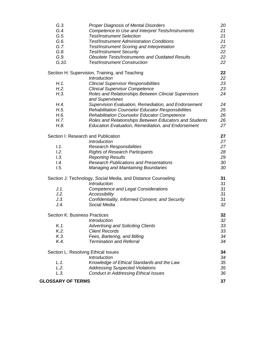| G.3.                     | <b>Proper Diagnosis of Mental Disorders</b>                             | 20 |
|--------------------------|-------------------------------------------------------------------------|----|
| G.4.                     | Competence to Use and Interpret Tests/Instruments                       | 21 |
| G.5.                     | <b>Test/Instrument Selection</b>                                        | 21 |
| G.6.                     | <b>Test/Instrument Administration Conditions</b>                        | 21 |
| G.7.                     | Test/Instrument Scoring and Interpretation                              | 22 |
| G.8.                     | <b>Test/Instrument Security</b>                                         | 22 |
| G.9.                     | <b>Obsolete Tests/Instruments and Outdated Results</b>                  | 22 |
| G.10.                    | <b>Test/Instrument Construction</b>                                     | 22 |
|                          | Section H: Supervision, Training, and Teaching                          | 22 |
|                          | <b>Introduction</b>                                                     | 22 |
| H.1.                     | <b>Clincial Supervisor Responsibilities</b>                             | 23 |
| H.2.                     | <b>Clinical Supervisor Competence</b>                                   | 23 |
| H.3.                     | Roles and Relationships Between Clincial Supervisors<br>and Supervisees | 24 |
| H.4.                     | Supervision Evaluation, Remediation, and Endorsement                    | 24 |
| H.5.                     | Rehabilitation Counselor Educator Responsibilities                      | 25 |
| H.6.                     | Rehabilitation Counselor Educator Competence                            | 26 |
| H.7.                     | Roles and Relationships Between Educators and Students                  | 26 |
| H.8.                     | <b>Education Evaluation, Remediation, and Endorsement</b>               | 27 |
|                          | Section I: Research and Publication                                     | 27 |
|                          | Introduction                                                            | 27 |
| 1.1.                     | <b>Research Responsibilities</b>                                        | 27 |
| 1.2.                     | <b>Rights of Research Participants</b>                                  | 28 |
| 1.3.                     | <b>Reporting Results</b>                                                | 29 |
| 1.4.                     | <b>Research Publications and Presentations</b>                          | 30 |
| 1.5.                     | <b>Managing and Maintaining Boundaries</b>                              | 30 |
|                          | Section J: Technology, Social Media, and Distance Counseling            | 31 |
|                          | <b>Introduction</b>                                                     | 31 |
| J.1.                     | <b>Competence and Legal Considerations</b>                              | 31 |
| J.2.                     | Accessibility                                                           | 31 |
| J.3.                     | Confidentiality, Informed Consent, and Security                         | 31 |
| J.4.                     | Social Media                                                            | 32 |
|                          | <b>Section K: Business Practices</b>                                    | 32 |
|                          | <b>Introduction</b>                                                     | 32 |
| $K.1$ .                  | <b>Advertising and Soliciting Clients</b>                               | 33 |
| K.2.                     | <b>Client Records</b>                                                   | 33 |
| K.3.                     | Fees, Bartering, and Billing                                            | 34 |
| K.4.                     | <b>Termination and Referral</b>                                         | 34 |
|                          | Section L: Resolving Ethical Issues                                     | 34 |
|                          | <b>Introduction</b>                                                     | 34 |
| L.1.                     | Knowledge of Ethical Standards and the Law                              | 35 |
| L.2.                     | <b>Addressing Suspected Violations</b>                                  | 35 |
| L.3.                     | <b>Conduct in Addressing Ethical Issues</b>                             | 36 |
| <b>GLOSSARY OF TERMS</b> |                                                                         | 37 |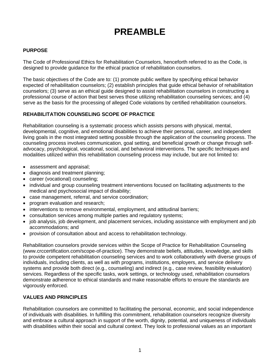# **PREAMBLE**

#### **PURPOSE**

The Code of Professional Ethics for Rehabilitation Counselors, henceforth referred to as the Code, is designed to provide guidance for the ethical practice of rehabilitation counselors.

The basic objectives of the Code are to: (1) promote public welfare by specifying ethical behavior expected of rehabilitation counselors; (2) establish principles that guide ethical behavior of rehabilitation counselors; (3) serve as an ethical guide designed to assist rehabilitation counselors in constructing a professional course of action that best serves those utilizing rehabilitation counseling services; and (4) serve as the basis for the processing of alleged Code violations by certified rehabilitation counselors.

#### **REHABILITATION COUNSELING SCOPE OF PRACTICE**

Rehabilitation counseling is a systematic process which assists persons with physical, mental, developmental, cognitive, and emotional disabilities to achieve their personal, career, and independent living goals in the most integrated setting possible through the application of the counseling process. The counseling process involves communication, goal setting, and beneficial growth or change through selfadvocacy, psychological, vocational, social, and behavioral interventions. The specific techniques and modalities utilized within this rehabilitation counseling process may include, but are not limited to:

- assessment and appraisal;
- diagnosis and treatment planning;
- career (vocational) counseling;
- individual and group counseling treatment interventions focused on facilitating adjustments to the medical and psychosocial impact of disability;
- case management, referral, and service coordination;
- program evaluation and research;
- interventions to remove environmental, employment, and attitudinal barriers;
- consultation services among multiple parties and regulatory systems;
- job analysis, job development, and placement services, including assistance with employment and job accommodations; and
- provision of consultation about and access to rehabilitation technology.

Rehabilitation counselors provide services within the Scope of Practice for Rehabilitation Counseling (www.crccertification.com/scope-of-practice). They demonstrate beliefs, attitudes, knowledge, and skills to provide competent rehabilitation counseling services and to work collaboratively with diverse groups of individuals, including clients, as well as with programs, institutions, employers, and service delivery systems and provide both direct (e.g., counseling) and indirect (e.g., case review, feasibility evaluation) services. Regardless of the specific tasks, work settings, or technology used, rehabilitation counselors demonstrate adherence to ethical standards and make reasonable efforts to ensure the standards are vigorously enforced.

#### **VALUES AND PRINCIPLES**

Rehabilitation counselors are committed to facilitating the personal, economic, and social independence of individuals with disabilities. In fulfilling this commitment, rehabilitation counselors recognize diversity and embrace a cultural approach in support of the worth, dignity, potential, and uniqueness of individuals with disabilities within their social and cultural context. They look to professional values as an important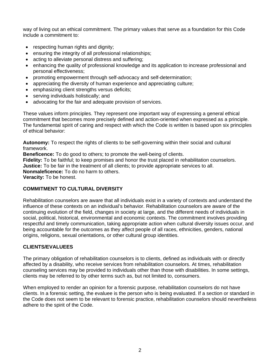way of living out an ethical commitment. The primary values that serve as a foundation for this Code include a commitment to:

- respecting human rights and dignity;
- ensuring the integrity of all professional relationships;
- acting to alleviate personal distress and suffering;
- enhancing the quality of professional knowledge and its application to increase professional and personal effectiveness;
- promoting empowerment through self-advocacy and self-determination;
- appreciating the diversity of human experience and appreciating culture;
- emphasizing client strengths versus deficits;
- serving individuals holistically; and
- advocating for the fair and adequate provision of services.

These values inform principles. They represent one important way of expressing a general ethical commitment that becomes more precisely defined and action-oriented when expressed as a principle. The fundamental spirit of caring and respect with which the Code is written is based upon six principles of ethical behavior:

**Autonomy:** To respect the rights of clients to be self-governing within their social and cultural framework.

**Beneficence:** To do good to others; to promote the well-being of clients.

**Fidelity:** To be faithful; to keep promises and honor the trust placed in rehabilitation counselors. **Justice:** To be fair in the treatment of all clients; to provide appropriate services to all. **Nonmaleficence:** To do no harm to others. **Veracity:** To be honest.

#### **COMMITMENT TO CULTURAL DIVERSITY**

Rehabilitation counselors are aware that all individuals exist in a variety of contexts and understand the influence of these contexts on an individual's behavior. Rehabilitation counselors are aware of the continuing evolution of the field, changes in society at large, and the different needs of individuals in social, political, historical, environmental and economic contexts. The commitment involves providing respectful and timely communication, taking appropriate action when cultural diversity issues occur, and being accountable for the outcomes as they affect people of all races, ethnicities, genders, national origins, religions, sexual orientations, or other cultural group identities.

#### **CLIENTS/EVALUEES**

The primary obligation of rehabilitation counselors is to clients, defined as individuals with or directly affected by a disability, who receive services from rehabilitation counselors. At times, rehabilitation counseling services may be provided to individuals other than those with disabilities. In some settings, clients may be referred to by other terms such as, but not limited to, consumers.

When employed to render an opinion for a forensic purpose, rehabilitation counselors do not have clients. In a forensic setting, the evaluee is the person who is being evaluated. If a section or standard in the Code does not seem to be relevant to forensic practice, rehabilitation counselors should nevertheless adhere to the spirit of the Code.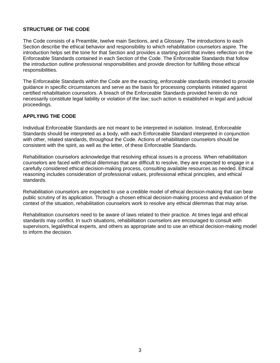#### **STRUCTURE OF THE CODE**

The Code consists of a Preamble, twelve main Sections, and a Glossary. The introductions to each Section describe the ethical behavior and responsibility to which rehabilitation counselors aspire. The introduction helps set the tone for that Section and provides a starting point that invites reflection on the Enforceable Standards contained in each Section of the Code. The Enforceable Standards that follow the introduction outline professional responsibilities and provide direction for fulfilling those ethical responsibilities.

The Enforceable Standards within the Code are the exacting, enforceable standards intended to provide guidance in specific circumstances and serve as the basis for processing complaints initiated against certified rehabilitation counselors. A breach of the Enforceable Standards provided herein do not necessarily constitute legal liability or violation of the law; such action is established in legal and judicial proceedings.

#### **APPLYING THE CODE**

Individual Enforceable Standards are not meant to be interpreted in isolation. Instead, Enforceable Standards should be interpreted as a body, with each Enforceable Standard interpreted in conjunction with other, related standards, throughout the Code. Actions of rehabilitation counselors should be consistent with the spirit, as well as the letter, of these Enforceable Standards.

Rehabilitation counselors acknowledge that resolving ethical issues is a process. When rehabilitation counselors are faced with ethical dilemmas that are difficult to resolve, they are expected to engage in a carefully considered ethical decision-making process, consulting available resources as needed. Ethical reasoning includes consideration of professional values, professional ethical principles, and ethical standards.

Rehabilitation counselors are expected to use a credible model of ethical decision-making that can bear public scrutiny of its application. Through a chosen ethical decision-making process and evaluation of the context of the situation, rehabilitation counselors work to resolve any ethical dilemmas that may arise.

Rehabilitation counselors need to be aware of laws related to their practice. At times legal and ethical standards may conflict. In such situations, rehabilitation counselors are encouraged to consult with supervisors, legal/ethical experts, and others as appropriate and to use an ethical decision-making model to inform the decision.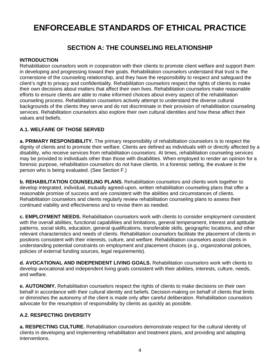## **ENFORCEABLE STANDARDS OF ETHICAL PRACTICE**

## **SECTION A: THE COUNSELING RELATIONSHIP**

#### **INTRODUCTION**

Rehabilitation counselors work in cooperation with their clients to promote client welfare and support them in developing and progressing toward their goals. Rehabilitation counselors understand that trust is the cornerstone of the counseling relationship, and they have the responsibility to respect and safeguard the client's right to privacy and confidentiality. Rehabilitation counselors respect the rights of clients to make their own decisions about matters that affect their own lives. Rehabilitation counselors make reasonable efforts to ensure clients are able to make informed choices about every aspect of the rehabilitation counseling process. Rehabilitation counselors actively attempt to understand the diverse cultural backgrounds of the clients they serve and do not discriminate in their provision of rehabilitation counseling services. Rehabilitation counselors also explore their own cultural identities and how these affect their values and beliefs.

#### **A.1. WELFARE OF THOSE SERVED**

**a. PRIMARY RESPONSIBILITY.** The primary responsibility of rehabilitation counselors is to respect the dignity of clients and to promote their welfare. Clients are defined as individuals with or directly affected by a disability, who receive services from rehabilitation counselors. At times, rehabilitation counseling services may be provided to individuals other than those with disabilities. When employed to render an opinion for a forensic purpose, rehabilitation counselors do not have clients. In a forensic setting, the evaluee is the person who is being evaluated. (See Section F.)

**b. REHABILITATION COUNSELING PLANS.** Rehabilitation counselors and clients work together to develop integrated, individual, mutually agreed-upon, written rehabilitation counseling plans that offer a reasonable promise of success and are consistent with the abilities and circumstances of clients. Rehabilitation counselors and clients regularly review rehabilitation counseling plans to assess their continued viability and effectiveness and to revise them as needed.

**c. EMPLOYMENT NEEDS.** Rehabilitation counselors work with clients to consider employment consistent with the overall abilities, functional capabilities and limitations, general temperament, interest and aptitude patterns, social skills, education, general qualifications, transferable skills, geographic locations, and other relevant characteristics and needs of clients. Rehabilitation counselors facilitate the placement of clients in positions consistent with their interests, culture, and welfare. Rehabilitation counselors assist clients in understanding potential constraints on employment and placement choices (e.g., organizational policies, policies of external funding sources, legal requirements).

**d. AVOCATIONAL AND INDEPENDENT LIVING GOALS.** Rehabilitation counselors work with clients to develop avocational and independent living goals consistent with their abilities, interests, culture, needs, and welfare.

**e. AUTONOMY.** Rehabilitation counselors respect the rights of clients to make decisions on their own behalf in accordance with their cultural identity and beliefs. Decision-making on behalf of clients that limits or diminishes the autonomy of the client is made only after careful deliberation. Rehabilitation counselors advocate for the resumption of responsibility by clients as quickly as possible.

#### **A.2. RESPECTING DIVERSITY**

**a. RESPECTING CULTURE.** Rehabilitation counselors demonstrate respect for the cultural identity of clients in developing and implementing rehabilitation and treatment plans, and providing and adapting interventions.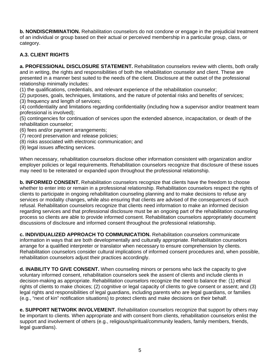**b. NONDISCRIMINATION.** Rehabilitation counselors do not condone or engage in the prejudicial treatment of an individual or group based on their actual or perceived membership in a particular group, class, or category.

#### **A.3. CLIENT RIGHTS**

**a. PROFESSIONAL DISCLOSURE STATEMENT.** Rehabilitation counselors review with clients, both orally and in writing, the rights and responsibilities of both the rehabilitation counselor and client. These are presented in a manner best suited to the needs of the client. Disclosure at the outset of the professional relationship minimally includes:

(1) the qualifications, credentials, and relevant experience of the rehabilitation counselor;

- (2) purposes, goals, techniques, limitations, and the nature of potential risks and benefits of services;
- (3) frequency and length of services;

(4) confidentiality and limitations regarding confidentiality (including how a supervisor and/or treatment team professional is involved);

(5) contingencies for continuation of services upon the extended absence, incapacitation, or death of the rehabilitation counselor;

- (6) fees and/or payment arrangements;
- (7) record preservation and release policies;
- (8) risks associated with electronic communication; and
- (9) legal issues affecting services.

When necessary, rehabilitation counselors disclose other information consistent with organization and/or employer policies or legal requirements. Rehabilitation counselors recognize that disclosure of these issues may need to be reiterated or expanded upon throughout the professional relationship.

**b. INFORMED CONSENT.** Rehabilitation counselors recognize that clients have the freedom to choose whether to enter into or remain in a professional relationship. Rehabilitation counselors respect the rights of clients to participate in ongoing rehabilitation counseling planning and to make decisions to refuse any services or modality changes, while also ensuring that clients are advised of the consequences of such refusal. Rehabilitation counselors recognize that clients need information to make an informed decision regarding services and that professional disclosure must be an ongoing part of the rehabilitation counseling process so clients are able to provide informed consent. Rehabilitation counselors appropriately document discussions of disclosure and informed consent throughout the professional relationship.

**c. INDIVIDUALIZED APPROACH TO COMMUNICATION.** Rehabilitation counselors communicate information in ways that are both developmentally and culturally appropriate. Rehabilitation counselors arrange for a qualified interpreter or translator when necessary to ensure comprehension by clients. Rehabilitation counselors consider cultural implications of informed consent procedures and, when possible, rehabilitation counselors adjust their practices accordingly.

**d. INABILITY TO GIVE CONSENT.** When counseling minors or persons who lack the capacity to give voluntary informed consent, rehabilitation counselors seek the assent of clients and include clients in decision-making as appropriate. Rehabilitation counselors recognize the need to balance the: (1) ethical rights of clients to make choices; (2) cognitive or legal capacity of clients to give consent or assent; and (3) legal rights and responsibilities of legal guardians, including parents who are legal guardians, or families (e.g., "next of kin" notification situations) to protect clients and make decisions on their behalf.

**e. SUPPORT NETWORK INVOLVEMENT.** Rehabilitation counselors recognize that support by others may be important to clients. When appropriate and with consent from clients, rehabilitation counselors enlist the support and involvement of others (e.g., religious/spiritual/community leaders, family members, friends, legal guardians).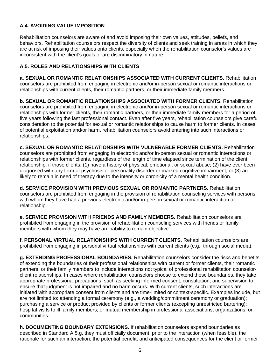#### **A.4. AVOIDING VALUE IMPOSITION**

Rehabilitation counselors are aware of and avoid imposing their own values, attitudes, beliefs, and behaviors. Rehabilitation counselors respect the diversity of clients and seek training in areas in which they are at risk of imposing their values onto clients, especially when the rehabilitation counselor's values are inconsistent with the client's goals or are discriminatory in nature.

#### **A.5. ROLES AND RELATIONSHIPS WITH CLIENTS**

**a. SEXUAL OR ROMANTIC RELATIONSHIPS ASSOCIATED WITH CURRENT CLIENTS.** Rehabilitation counselors are prohibited from engaging in electronic and/or in-person sexual or romantic interactions or relationships with current clients, their romantic partners, or their immediate family members.

**b. SEXUAL OR ROMANTIC RELATIONSHIPS ASSOCIATED WITH FORMER CLIENTS.** Rehabilitation counselors are prohibited from engaging in electronic and/or in-person sexual or romantic interactions or relationships with former clients, their romantic partners, or their immediate family members for a period of five years following the last professional contact. Even after five years, rehabilitation counselors give careful consideration to the potential for sexual or romantic relationships to cause harm to former clients. In cases of potential exploitation and/or harm, rehabilitation counselors avoid entering into such interactions or relationships.

**c. SEXUAL OR ROMANTIC RELATIONSHIPS WITH VULNERABLE FORMER CLIENTS.** Rehabilitation counselors are prohibited from engaging in electronic and/or in-person sexual or romantic interactions or relationships with former clients, regardless of the length of time elapsed since termination of the client relationship, if those clients: (1) have a history of physical, emotional, or sexual abuse; (2) have ever been diagnosed with any form of psychosis or personality disorder or marked cognitive impairment, or (3) are likely to remain in need of therapy due to the intensity or chronicity of a mental health condition.

**d. SERVICE PROVISION WITH PREVIOUS SEXUAL OR ROMANTIC PARTNERS.** Rehabilitation counselors are prohibited from engaging in the provision of rehabilitation counseling services with persons with whom they have had a previous electronic and/or in-person sexual or romantic interaction or relationship.

**e. SERVICE PROVISION WITH FRIENDS AND FAMILY MEMBERS.** Rehabilitation counselors are prohibited from engaging in the provision of rehabilitation counseling services with friends or family members with whom they may have an inability to remain objective.

**f. PERSONAL VIRTUAL RELATIONSHIPS WITH CURRENT CLIENTS.** Rehabilitation counselors are prohibited from engaging in personal virtual relationships with current clients (e.g., through social media).

**g. EXTENDING PROFESSIONAL BOUNDARIES.** Rehabilitation counselors consider the risks and benefits of extending the boundaries of their professional relationships with current or former clients, their romantic partners, or their family members to include interactions not typical of professional rehabilitation counselorclient relationships. In cases where rehabilitation counselors choose to extend these boundaries, they take appropriate professional precautions, such as seeking informed consent, consultation, and supervision to ensure that judgment is not impaired and no harm occurs. With current clients, such interactions are initiated with appropriate consent from clients and are time-limited or context-specific. Examples include, but are not limited to: attending a formal ceremony (e.g., a wedding/commitment ceremony or graduation); purchasing a service or product provided by clients or former clients (excepting unrestricted bartering); hospital visits to ill family members; or mutual membership in professional associations, organizations, or communities.

**h. DOCUMENTING BOUNDARY EXTENSIONS.** If rehabilitation counselors expand boundaries as described in Standard A.5.g, they must officially document, prior to the interaction (when feasible), the rationale for such an interaction, the potential benefit, and anticipated consequences for the client or former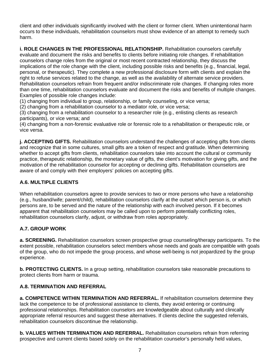client and other individuals significantly involved with the client or former client. When unintentional harm occurs to these individuals, rehabilitation counselors must show evidence of an attempt to remedy such harm.

**i. ROLE CHANGES IN THE PROFESSIONAL RELATIONSHIP.** Rehabilitation counselors carefully evaluate and document the risks and benefits to clients before initiating role changes. If rehabilitation counselors change roles from the original or most recent contracted relationship, they discuss the implications of the role change with the client, including possible risks and benefits (e.g., financial, legal, personal, or therapeutic). They complete a new professional disclosure form with clients and explain the right to refuse services related to the change, as well as the availability of alternate service providers. Rehabilitation counselors refrain from frequent and/or indiscriminate role changes. If changing roles more than one time, rehabilitation counselors evaluate and document the risks and benefits of multiple changes. Examples of possible role changes include:

(1) changing from individual to group, relationship, or family counseling, or vice versa;

(2) changing from a rehabilitation counselor to a mediator role, or vice versa;

(3) changing from a rehabilitation counselor to a researcher role (e.g., enlisting clients as research participants), or vice versa; and

(4) changing from a non-forensic evaluative role or forensic role to a rehabilitation or therapeutic role, or vice versa.

**j. ACCEPTING GIFTS.** Rehabilitation counselors understand the challenges of accepting gifts from clients and recognize that in some cultures, small gifts are a token of respect and gratitude. When determining whether to accept gifts from clients, rehabilitation counselors take into account the cultural or community practice, therapeutic relationship, the monetary value of gifts, the client's motivation for giving gifts, and the motivation of the rehabilitation counselor for accepting or declining gifts. Rehabilitation counselors are aware of and comply with their employers' policies on accepting gifts.

#### **A.6. MULTIPLE CLIENTS**

When rehabilitation counselors agree to provide services to two or more persons who have a relationship (e.g., husband/wife; parent/child), rehabilitation counselors clarify at the outset which person is, or which persons are, to be served and the nature of the relationship with each involved person. If it becomes apparent that rehabilitation counselors may be called upon to perform potentially conflicting roles, rehabilitation counselors clarify, adjust, or withdraw from roles appropriately.

#### **A.7. GROUP WORK**

**a. SCREENING.** Rehabilitation counselors screen prospective group counseling/therapy participants. To the extent possible, rehabilitation counselors select members whose needs and goals are compatible with goals of the group, who do not impede the group process, and whose well-being is not jeopardized by the group experience.

**b. PROTECTING CLIENTS.** In a group setting, rehabilitation counselors take reasonable precautions to protect clients from harm or trauma.

#### **A.8. TERMINATION AND REFERRAL**

**a. COMPETENCE WITHIN TERMINATION AND REFERRAL.** If rehabilitation counselors determine they lack the competence to be of professional assistance to clients, they avoid entering or continuing professional relationships. Rehabilitation counselors are knowledgeable about culturally and clinically appropriate referral resources and suggest these alternatives. If clients decline the suggested referrals, rehabilitation counselors discontinue the relationship.

**b. VALUES WITHIN TERMINATION AND REFERRAL.** Rehabilitation counselors refrain from referring prospective and current clients based solely on the rehabilitation counselor's personally held values,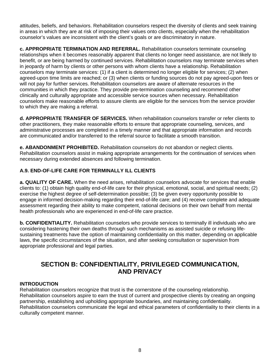attitudes, beliefs, and behaviors. Rehabilitation counselors respect the diversity of clients and seek training in areas in which they are at risk of imposing their values onto clients, especially when the rehabilitation counselor's values are inconsistent with the client's goals or are discriminatory in nature.

**c. APPROPRIATE TERMINATION AND REFERRAL.** Rehabilitation counselors terminate counseling relationships when it becomes reasonably apparent that clients no longer need assistance, are not likely to benefit, or are being harmed by continued services. Rehabilitation counselors may terminate services when in jeopardy of harm by clients or other persons with whom clients have a relationship. Rehabilitation counselors may terminate services: (1) if a client is determined no longer eligible for services; (2) when agreed-upon time limits are reached; or (3) when clients or funding sources do not pay agreed-upon fees or will not pay for further services. Rehabilitation counselors are aware of alternate resources in the communities in which they practice. They provide pre-termination counseling and recommend other clinically and culturally appropriate and accessible service sources when necessary. Rehabilitation counselors make reasonable efforts to assure clients are eligible for the services from the service provider to which they are making a referral.

**d. APPROPRIATE TRANSFER OF SERVICES.** When rehabilitation counselors transfer or refer clients to other practitioners, they make reasonable efforts to ensure that appropriate counseling, services, and administrative processes are completed in a timely manner and that appropriate information and records are communicated and/or transferred to the referral source to facilitate a smooth transition.

**e. ABANDONMENT PROHIBITED.** Rehabilitation counselors do not abandon or neglect clients. Rehabilitation counselors assist in making appropriate arrangements for the continuation of services when necessary during extended absences and following termination.

#### **A.9. END-OF-LIFE CARE FOR TERMINALLY ILL CLIENTS**

**a. QUALITY OF CARE.** When the need arises, rehabilitation counselors advocate for services that enable clients to: (1) obtain high quality end-of-life care for their physical, emotional, social, and spiritual needs; (2) exercise the highest degree of self-determination possible; (3) be given every opportunity possible to engage in informed decision-making regarding their end-of-life care; and (4) receive complete and adequate assessment regarding their ability to make competent, rational decisions on their own behalf from mental health professionals who are experienced in end-of-life care practice.

**b. CONFIDENTIALITY.** Rehabilitation counselors who provide services to terminally ill individuals who are considering hastening their own deaths through such mechanisms as assisted suicide or refusing lifesustaining treatments have the option of maintaining confidentiality on this matter, depending on applicable laws, the specific circumstances of the situation, and after seeking consultation or supervision from appropriate professional and legal parties.

## **SECTION B: CONFIDENTIALITY, PRIVILEGED COMMUNICATION, AND PRIVACY**

#### **INTRODUCTION**

Rehabilitation counselors recognize that trust is the cornerstone of the counseling relationship. Rehabilitation counselors aspire to earn the trust of current and prospective clients by creating an ongoing partnership, establishing and upholding appropriate boundaries, and maintaining confidentiality. Rehabilitation counselors communicate the legal and ethical parameters of confidentiality to their clients in a culturally competent manner.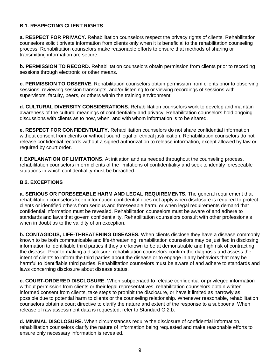#### **B.1. RESPECTING CLIENT RIGHTS**

**a. RESPECT FOR PRIVACY.** Rehabilitation counselors respect the privacy rights of clients. Rehabilitation counselors solicit private information from clients only when it is beneficial to the rehabilitation counseling process. Rehabilitation counselors make reasonable efforts to ensure that methods of sharing or transmitting information are secure.

**b. PERMISSION TO RECORD.** Rehabilitation counselors obtain permission from clients prior to recording sessions through electronic or other means.

**c. PERMISSION TO OBSERVE.** Rehabilitation counselors obtain permission from clients prior to observing sessions, reviewing session transcripts, and/or listening to or viewing recordings of sessions with supervisors, faculty, peers, or others within the training environment.

**d. CULTURAL DIVERSITY CONSIDERATIONS.** Rehabilitation counselors work to develop and maintain awareness of the cultural meanings of confidentiality and privacy. Rehabilitation counselors hold ongoing discussions with clients as to how, when, and with whom information is to be shared.

**e. RESPECT FOR CONFIDENTIALITY.** Rehabilitation counselors do not share confidential information without consent from clients or without sound legal or ethical justification. Rehabilitation counselors do not release confidential records without a signed authorization to release information, except allowed by law or required by court order.

**f. EXPLANATION OF LIMITATIONS.** At initiation and as needed throughout the counseling process, rehabilitation counselors inform clients of the limitations of confidentiality and seek to identify foreseeable situations in which confidentiality must be breached.

#### **B.2. EXCEPTIONS**

**a. SERIOUS OR FORESEEABLE HARM AND LEGAL REQUIREMENTS.** The general requirement that rehabilitation counselors keep information confidential does not apply when disclosure is required to protect clients or identified others from serious and foreseeable harm, or when legal requirements demand that confidential information must be revealed. Rehabilitation counselors must be aware of and adhere to standards and laws that govern confidentiality. Rehabilitation counselors consult with other professionals when in doubt as to the validity of an exception.

**b. CONTAGIOUS, LIFE-THREATENING DISEASES.** When clients disclose they have a disease commonly known to be both communicable and life-threatening, rehabilitation counselors may be justified in disclosing information to identifiable third parties if they are known to be at demonstrable and high risk of contracting the disease. Prior to making a disclosure, rehabilitation counselors confirm the diagnosis and assess the intent of clients to inform the third parties about the disease or to engage in any behaviors that may be harmful to identifiable third parties. Rehabilitation counselors must be aware of and adhere to standards and laws concerning disclosure about disease status.

**c. COURT-ORDERED DISCLOSURE.** When subpoenaed to release confidential or privileged information without permission from clients or their legal representatives, rehabilitation counselors obtain written informed consent from clients, take steps to prohibit the disclosure, or have it limited as narrowly as possible due to potential harm to clients or the counseling relationship. Whenever reasonable, rehabilitation counselors obtain a court directive to clarify the nature and extent of the response to a subpoena. When release of raw assessment data is requested, refer to Standard G.2.b.

**d. MINIMAL DISCLOSURE.** When circumstances require the disclosure of confidential information, rehabilitation counselors clarify the nature of information being requested and make reasonable efforts to ensure only necessary information is revealed.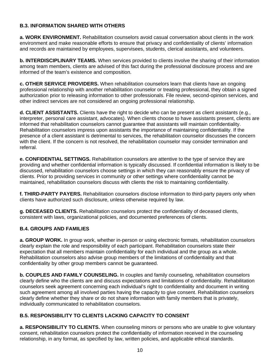#### **B.3. INFORMATION SHARED WITH OTHERS**

**a. WORK ENVIRONMENT.** Rehabilitation counselors avoid casual conversation about clients in the work environment and make reasonable efforts to ensure that privacy and confidentiality of clients' information and records are maintained by employees, supervisees, students, clerical assistants, and volunteers.

**b. INTERDISCIPLINARY TEAMS.** When services provided to clients involve the sharing of their information among team members, clients are advised of this fact during the professional disclosure process and are informed of the team's existence and composition.

**c. OTHER SERVICE PROVIDERS.** When rehabilitation counselors learn that clients have an ongoing professional relationship with another rehabilitation counselor or treating professional, they obtain a signed authorization prior to releasing information to other professionals. File review, second-opinion services, and other indirect services are not considered an ongoing professional relationship.

**d. CLIENT ASSISTANTS.** Clients have the right to decide who can be present as client assistants (e.g., interpreter, personal care assistant, advocates). When clients choose to have assistants present, clients are informed that rehabilitation counselors cannot guarantee that assistants will maintain confidentiality. Rehabilitation counselors impress upon assistants the importance of maintaining confidentiality. If the presence of a client assistant is detrimental to services, the rehabilitation counselor discusses the concern with the client. If the concern is not resolved, the rehabilitation counselor may consider termination and referral.

**e. CONFIDENTIAL SETTINGS.** Rehabilitation counselors are attentive to the type of service they are providing and whether confidential information is typically discussed. If confidential information is likely to be discussed, rehabilitation counselors choose settings in which they can reasonably ensure the privacy of clients. Prior to providing services in community or other settings where confidentiality cannot be maintained, rehabilitation counselors discuss with clients the risk to maintaining confidentiality.

**f. THIRD-PARTY PAYERS.** Rehabilitation counselors disclose information to third-party payers only when clients have authorized such disclosure, unless otherwise required by law.

**g. DECEASED CLIENTS.** Rehabilitation counselors protect the confidentiality of deceased clients, consistent with laws, organizational policies, and documented preferences of clients.

#### **B.4. GROUPS AND FAMILIES**

**a. GROUP WORK.** In group work, whether in-person or using electronic formats, rehabilitation counselors clearly explain the role and responsibility of each participant. Rehabilitation counselors state their expectation that all members maintain confidentiality for each individual and the group as a whole. Rehabilitation counselors also advise group members of the limitations of confidentiality and that confidentiality by other group members cannot be guaranteed.

**b. COUPLES AND FAMILY COUNSELING.** In couples and family counseling, rehabilitation counselors clearly define who the clients are and discuss expectations and limitations of confidentiality. Rehabilitation counselors seek agreement concerning each individual's right to confidentiality and document in writing such agreement among all involved parties having the capacity to give consent. Rehabilitation counselors clearly define whether they share or do not share information with family members that is privately, individually communicated to rehabilitation counselors.

#### **B.5. RESPONSIBILITY TO CLIENTS LACKING CAPACITY TO CONSENT**

**a. RESPONSIBILITY TO CLIENTS.** When counseling minors or persons who are unable to give voluntary consent, rehabilitation counselors protect the confidentiality of information received in the counseling relationship, in any format, as specified by law, written policies, and applicable ethical standards.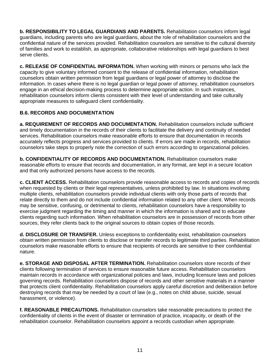**b. RESPONSIBILITY TO LEGAL GUARDIANS AND PARENTS.** Rehabilitation counselors inform legal guardians, including parents who are legal guardians, about the role of rehabilitation counselors and the confidential nature of the services provided. Rehabilitation counselors are sensitive to the cultural diversity of families and work to establish, as appropriate, collaborative relationships with legal guardians to best serve clients.

**c. RELEASE OF CONFIDENTIAL INFORMATION.** When working with minors or persons who lack the capacity to give voluntary informed consent to the release of confidential information, rehabilitation counselors obtain written permission from legal guardians or legal power of attorney to disclose the information. In cases where there is no legal guardian or legal power of attorney, rehabilitation counselors engage in an ethical decision-making process to determine appropriate action. In such instances, rehabilitation counselors inform clients consistent with their level of understanding and take culturally appropriate measures to safeguard client confidentiality.

#### **B.6. RECORDS AND DOCUMENTATION**

**a. REQUIREMENT OF RECORDS AND DOCUMENTATION.** Rehabilitation counselors include sufficient and timely documentation in the records of their clients to facilitate the delivery and continuity of needed services. Rehabilitation counselors make reasonable efforts to ensure that documentation in records accurately reflects progress and services provided to clients. If errors are made in records, rehabilitation counselors take steps to properly note the correction of such errors according to organizational policies.

**b. CONFIDENTIALITY OF RECORDS AND DOCUMENTATION.** Rehabilitation counselors make reasonable efforts to ensure that records and documentation, in any format, are kept in a secure location and that only authorized persons have access to the records.

**c. CLIENT ACCESS.** Rehabilitation counselors provide reasonable access to records and copies of records when requested by clients or their legal representatives, unless prohibited by law. In situations involving multiple clients, rehabilitation counselors provide individual clients with only those parts of records that relate directly to them and do not include confidential information related to any other client. When records may be sensitive, confusing, or detrimental to clients, rehabilitation counselors have a responsibility to exercise judgment regarding the timing and manner in which the information is shared and to educate clients regarding such information. When rehabilitation counselors are in possession of records from other sources, they refer clients back to the original sources to obtain copies of those records.

**d. DISCLOSURE OR TRANSFER.** Unless exceptions to confidentiality exist, rehabilitation counselors obtain written permission from clients to disclose or transfer records to legitimate third parties. Rehabilitation counselors make reasonable efforts to ensure that recipients of records are sensitive to their confidential nature.

**e. STORAGE AND DISPOSAL AFTER TERMINATION.** Rehabilitation counselors store records of their clients following termination of services to ensure reasonable future access. Rehabilitation counselors maintain records in accordance with organizational policies and laws, including licensure laws and policies governing records. Rehabilitation counselors dispose of records and other sensitive materials in a manner that protects client confidentiality. Rehabilitation counselors apply careful discretion and deliberation before destroying records that may be needed by a court of law (e.g., notes on child abuse, suicide, sexual harassment, or violence).

**f. REASONABLE PRECAUTIONS.** Rehabilitation counselors take reasonable precautions to protect the confidentiality of clients in the event of disaster or termination of practice, incapacity, or death of the rehabilitation counselor. Rehabilitation counselors appoint a records custodian when appropriate.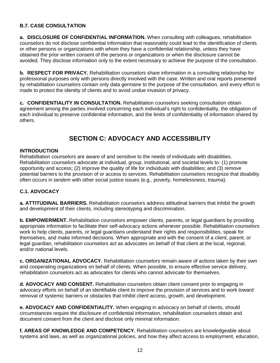#### **B.7. CASE CONSULTATION**

**a. DISCLOSURE OF CONFIDENTIAL INFORMATION.** When consulting with colleagues, rehabilitation counselors do not disclose confidential information that reasonably could lead to the identification of clients or other persons or organizations with whom they have a confidential relationship, unless they have obtained the prior written consent of the persons or organizations or when the disclosure cannot be avoided. They disclose information only to the extent necessary to achieve the purpose of the consultation.

**b. RESPECT FOR PRIVACY.** Rehabilitation counselors share information in a consulting relationship for professional purposes only with persons directly involved with the case. Written and oral reports presented by rehabilitation counselors contain only data germane to the purpose of the consultation, and every effort is made to protect the identity of clients and to avoid undue invasion of privacy.

**c. CONFIDENTIALITY IN CONSULTATION.** Rehabilitation counselors seeking consultation obtain agreement among the parties involved concerning each individual's right to confidentiality, the obligation of each individual to preserve confidential information, and the limits of confidentiality of information shared by others.

## **SECTION C: ADVOCACY AND ACCESSIBILITY**

#### **INTRODUCTION**

Rehabilitation counselors are aware of and sensitive to the needs of individuals with disabilities. Rehabilitation counselors advocate at individual, group, institutional, and societal levels to: (1) promote opportunity and access; (2) improve the quality of life for individuals with disabilities; and (3) remove potential barriers to the provision of or access to services. Rehabilitation counselors recognize that disability often occurs in tandem with other social justice issues (e.g., poverty, homelessness, trauma).

#### **C.1. ADVOCACY**

**a. ATTITUDINAL BARRIERS.** Rehabilitation counselors address attitudinal barriers that inhibit the growth and development of their clients, including stereotyping and discrimination.

**b. EMPOWERMENT.** Rehabilitation counselors empower clients, parents, or legal guardians by providing appropriate information to facilitate their self-advocacy actions whenever possible. Rehabilitation counselors work to help clients, parents, or legal guardians understand their rights and responsibilities, speak for themselves, and make informed decisions. When appropriate and with the consent of a client, parent, or legal guardian, rehabilitation counselors act as advocates on behalf of that client at the local, regional, and/or national levels.

**c. ORGANIZATIONAL ADVOCACY.** Rehabilitation counselors remain aware of actions taken by their own and cooperating organizations on behalf of clients. When possible, to ensure effective service delivery, rehabilitation counselors act as advocates for clients who cannot advocate for themselves.

**d. ADVOCACY AND CONSENT.** Rehabilitation counselors obtain client consent prior to engaging in advocacy efforts on behalf of an identifiable client to improve the provision of services and to work toward removal of systemic barriers or obstacles that inhibit client access, growth, and development.

**e. ADVOCACY AND CONFIDENTIALITY.** When engaging in advocacy on behalf of clients, should circumstances require the disclosure of confidential information, rehabilitation counselors obtain and document consent from the client and disclose only minimal information.

**f. AREAS OF KNOWLEDGE AND COMPETENCY.** Rehabilitation counselors are knowledgeable about systems and laws, as well as organizational policies, and how they affect access to employment, education,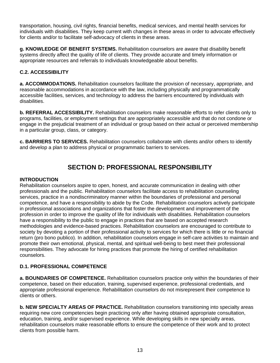transportation, housing, civil rights, financial benefits, medical services, and mental health services for individuals with disabilities. They keep current with changes in these areas in order to advocate effectively for clients and/or to facilitate self-advocacy of clients in these areas.

**g. KNOWLEDGE OF BENEFIT SYSTEMS.** Rehabilitation counselors are aware that disability benefit systems directly affect the quality of life of clients. They provide accurate and timely information or appropriate resources and referrals to individuals knowledgeable about benefits.

#### **C.2. ACCESSIBILITY**

**a. ACCOMMODATIONS.** Rehabilitation counselors facilitate the provision of necessary, appropriate, and reasonable accommodations in accordance with the law, including physically and programmatically accessible facilities, services, and technology to address the barriers encountered by individuals with disabilities.

**b. REFERRAL ACCESSIBILITY.** Rehabilitation counselors make reasonable efforts to refer clients only to programs, facilities, or employment settings that are appropriately accessible and that do not condone or engage in the prejudicial treatment of an individual or group based on their actual or perceived membership in a particular group, class, or category.

**c. BARRIERS TO SERVICES.** Rehabilitation counselors collaborate with clients and/or others to identify and develop a plan to address physical or programmatic barriers to services.

## **SECTION D: PROFESSIONAL RESPONSIBILITY**

#### **INTRODUCTION**

Rehabilitation counselors aspire to open, honest, and accurate communication in dealing with other professionals and the public. Rehabilitation counselors facilitate access to rehabilitation counseling services, practice in a nondiscriminatory manner within the boundaries of professional and personal competence, and have a responsibility to abide by the Code. Rehabilitation counselors actively participate in professional associations and organizations that foster the development and improvement of the profession in order to improve the quality of life for individuals with disabilities. Rehabilitation counselors have a responsibility to the public to engage in practices that are based on accepted research methodologies and evidence-based practices. Rehabilitation counselors are encouraged to contribute to society by devoting a portion of their professional activity to services for which there is little or no financial return (pro bono publico). In addition, rehabilitation counselors engage in self-care activities to maintain and promote their own emotional, physical, mental, and spiritual well-being to best meet their professional responsibilities. They advocate for hiring practices that promote the hiring of certified rehabilitation counselors.

#### **D.1. PROFESSIONAL COMPETENCE**

**a. BOUNDARIES OF COMPETENCE.** Rehabilitation counselors practice only within the boundaries of their competence, based on their education, training, supervised experience, professional credentials, and appropriate professional experience. Rehabilitation counselors do not misrepresent their competence to clients or others.

**b. NEW SPECIALTY AREAS OF PRACTICE.** Rehabilitation counselors transitioning into specialty areas requiring new core competencies begin practicing only after having obtained appropriate consultation, education, training, and/or supervised experience. While developing skills in new specialty areas, rehabilitation counselors make reasonable efforts to ensure the competence of their work and to protect clients from possible harm.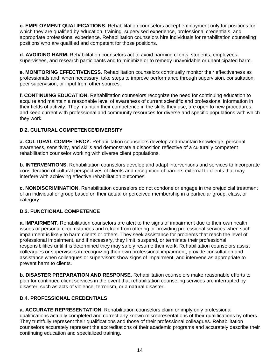**c. EMPLOYMENT QUALIFICATIONS.** Rehabilitation counselors accept employment only for positions for which they are qualified by education, training, supervised experience, professional credentials, and appropriate professional experience. Rehabilitation counselors hire individuals for rehabilitation counseling positions who are qualified and competent for those positions.

**d. AVOIDING HARM.** Rehabilitation counselors act to avoid harming clients, students, employees, supervisees, and research participants and to minimize or to remedy unavoidable or unanticipated harm.

**e. MONITORING EFFECTIVENESS.** Rehabilitation counselors continually monitor their effectiveness as professionals and, when necessary, take steps to improve performance through supervision, consultation, peer supervision, or input from other sources.

**f. CONTINUING EDUCATION.** Rehabilitation counselors recognize the need for continuing education to acquire and maintain a reasonable level of awareness of current scientific and professional information in their fields of activity. They maintain their competence in the skills they use, are open to new procedures, and keep current with professional and community resources for diverse and specific populations with which they work.

#### **D.2. CULTURAL COMPETENCE/DIVERSITY**

**a. CULTURAL COMPETENCY.** Rehabilitation counselors develop and maintain knowledge, personal awareness, sensitivity, and skills and demonstrate a disposition reflective of a culturally competent rehabilitation counselor working with diverse client populations.

**b. INTERVENTIONS.** Rehabilitation counselors develop and adapt interventions and services to incorporate consideration of cultural perspectives of clients and recognition of barriers external to clients that may interfere with achieving effective rehabilitation outcomes.

**c. NONDISCRIMINATION.** Rehabilitation counselors do not condone or engage in the prejudicial treatment of an individual or group based on their actual or perceived membership in a particular group, class, or category.

#### **D.3. FUNCTIONAL COMPETENCE**

**a. IMPAIRMENT.** Rehabilitation counselors are alert to the signs of impairment due to their own health issues or personal circumstances and refrain from offering or providing professional services when such impairment is likely to harm clients or others. They seek assistance for problems that reach the level of professional impairment, and if necessary, they limit, suspend, or terminate their professional responsibilities until it is determined they may safely resume their work. Rehabilitation counselors assist colleagues or supervisors in recognizing their own professional impairment, provide consultation and assistance when colleagues or supervisors show signs of impairment, and intervene as appropriate to prevent harm to clients.

**b. DISASTER PREPARATION AND RESPONSE.** Rehabilitation counselors make reasonable efforts to plan for continued client services in the event that rehabilitation counseling services are interrupted by disaster, such as acts of violence, terrorism, or a natural disaster.

#### **D.4. PROFESSIONAL CREDENTIALS**

**a. ACCURATE REPRESENTATION.** Rehabilitation counselors claim or imply only professional qualifications actually completed and correct any known misrepresentations of their qualifications by others. They truthfully represent their qualifications and those of their professional colleagues. Rehabilitation counselors accurately represent the accreditations of their academic programs and accurately describe their continuing education and specialized training.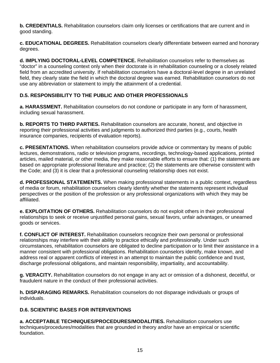**b. CREDENTIALS.** Rehabilitation counselors claim only licenses or certifications that are current and in good standing.

**c. EDUCATIONAL DEGREES.** Rehabilitation counselors clearly differentiate between earned and honorary degrees.

**d. IMPLYING DOCTORAL-LEVEL COMPETENCE.** Rehabilitation counselors refer to themselves as "doctor" in a counseling context only when their doctorate is in rehabilitation counseling or a closely related field from an accredited university. If rehabilitation counselors have a doctoral-level degree in an unrelated field, they clearly state the field in which the doctoral degree was earned. Rehabilitation counselors do not use any abbreviation or statement to imply the attainment of a credential.

#### **D.5. RESPONSIBILITY TO THE PUBLIC AND OTHER PROFESSIONALS**

**a. HARASSMENT.** Rehabilitation counselors do not condone or participate in any form of harassment, including sexual harassment.

**b. REPORTS TO THIRD PARTIES.** Rehabilitation counselors are accurate, honest, and objective in reporting their professional activities and judgments to authorized third parties (e.g., courts, health insurance companies, recipients of evaluation reports).

**c. PRESENTATIONS.** When rehabilitation counselors provide advice or commentary by means of public lectures, demonstrations, radio or television programs, recordings, technology-based applications, printed articles, mailed material, or other media, they make reasonable efforts to ensure that: (1) the statements are based on appropriate professional literature and practice; (2) the statements are otherwise consistent with the Code; and (3) it is clear that a professional counseling relationship does not exist.

**d. PROFESSIONAL STATEMENTS.** When making professional statements in a public context, regardless of media or forum, rehabilitation counselors clearly identify whether the statements represent individual perspectives or the position of the profession or any professional organizations with which they may be affiliated.

**e. EXPLOITATION OF OTHERS.** Rehabilitation counselors do not exploit others in their professional relationships to seek or receive unjustified personal gains, sexual favors, unfair advantages, or unearned goods or services.

**f. CONFLICT OF INTEREST.** Rehabilitation counselors recognize their own personal or professional relationships may interfere with their ability to practice ethically and professionally. Under such circumstances, rehabilitation counselors are obligated to decline participation or to limit their assistance in a manner consistent with professional obligations. Rehabilitation counselors identify, make known, and address real or apparent conflicts of interest in an attempt to maintain the public confidence and trust, discharge professional obligations, and maintain responsibility, impartiality, and accountability.

**g. VERACITY.** Rehabilitation counselors do not engage in any act or omission of a dishonest, deceitful, or fraudulent nature in the conduct of their professional activities.

**h. DISPARAGING REMARKS.** Rehabilitation counselors do not disparage individuals or groups of individuals.

#### **D.6. SCIENTIFIC BASES FOR INTERVENTIONS**

**a. ACCEPTABLE TECHNIQUES/PROCEDURES/MODALITIES.** Rehabilitation counselors use techniques/procedures/modalities that are grounded in theory and/or have an empirical or scientific foundation.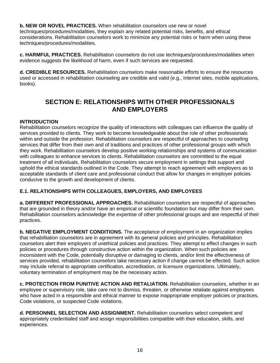**b. NEW OR NOVEL PRACTICES.** When rehabilitation counselors use new or novel techniques/procedures/modalities, they explain any related potential risks, benefits, and ethical considerations. Rehabilitation counselors work to minimize any potential risks or harm when using these techniques/procedures/modalities.

**c. HARMFUL PRACTICES.** Rehabilitation counselors do not use techniques/procedures/modalities when evidence suggests the likelihood of harm, even if such services are requested.

**d. CREDIBLE RESOURCES.** Rehabilitation counselors make reasonable efforts to ensure the resources used or accessed in rehabilitation counseling are credible and valid (e.g., Internet sites, mobile applications, books).

## **SECTION E: RELATIONSHIPS WITH OTHER PROFESSIONALS AND EMPLOYERS**

#### **INTRODUCTION**

Rehabilitation counselors recognize the quality of interactions with colleagues can influence the quality of services provided to clients. They work to become knowledgeable about the role of other professionals within and outside the profession. Rehabilitation counselors are respectful of approaches to counseling services that differ from their own and of traditions and practices of other professional groups with which they work. Rehabilitation counselors develop positive working relationships and systems of communication with colleagues to enhance services to clients. Rehabilitation counselors are committed to the equal treatment of all individuals. Rehabilitation counselors secure employment in settings that support and uphold the ethical standards outlined in the Code. They attempt to reach agreement with employers as to acceptable standards of client care and professional conduct that allow for changes in employer policies conducive to the growth and development of clients.

#### **E.1. RELATIONSHIPS WITH COLLEAGUES, EMPLOYERS, AND EMPLOYEES**

**a. DIFFERENT PROFESSIONAL APPROACHES.** Rehabilitation counselors are respectful of approaches that are grounded in theory and/or have an empirical or scientific foundation but may differ from their own. Rehabilitation counselors acknowledge the expertise of other professional groups and are respectful of their practices.

**b. NEGATIVE EMPLOYMENT CONDITIONS.** The acceptance of employment in an organization implies that rehabilitation counselors are in agreement with its general policies and principles. Rehabilitation counselors alert their employers of unethical policies and practices. They attempt to effect changes in such policies or procedures through constructive action within the organization. When such policies are inconsistent with the Code, potentially disruptive or damaging to clients, and/or limit the effectiveness of services provided, rehabilitation counselors take necessary action if change cannot be effected. Such action may include referral to appropriate certification, accreditation, or licensure organizations. Ultimately, voluntary termination of employment may be the necessary action.

**c. PROTECTION FROM PUNITIVE ACTION AND RETALIATION.** Rehabilitation counselors, whether in an employee or supervisory role, take care not to dismiss, threaten, or otherwise retaliate against employees who have acted in a responsible and ethical manner to expose inappropriate employer policies or practices, Code violations, or suspected Code violations.

**d. PERSONNEL SELECTION AND ASSIGNMENT.** Rehabilitation counselors select competent and appropriately credentialed staff and assign responsibilities compatible with their education, skills, and experiences.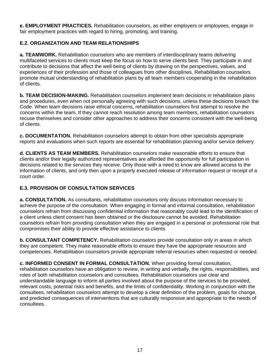**e. EMPLOYMENT PRACTICES.** Rehabilitation counselors, as either employers or employees, engage in fair employment practices with regard to hiring, promoting, and training.

#### **E.2. ORGANIZATION AND TEAM RELATIONSHIPS**

**a. TEAMWORK.** Rehabilitation counselors who are members of interdisciplinary teams delivering multifaceted services to clients must keep the focus on how to serve clients best. They participate in and contribute to decisions that affect the well-being of clients by drawing on the perspectives, values, and experiences of their profession and those of colleagues from other disciplines. Rehabilitation counselors promote mutual understanding of rehabilitation plans by all team members cooperating in the rehabilitation of clients.

**b. TEAM DECISION-MAKING.** Rehabilitation counselors implement team decisions in rehabilitation plans and procedures, even when not personally agreeing with such decisions, unless these decisions breach the Code. When team decisions raise ethical concerns, rehabilitation counselors first attempt to resolve the concerns within the team. If they cannot reach resolution among team members, rehabilitation counselors recuse themselves and consider other approaches to address their concerns consistent with the well-being of clients.

**c. DOCUMENTATION.** Rehabilitation counselors attempt to obtain from other specialists appropriate reports and evaluations when such reports are essential for rehabilitation planning and/or service delivery.

**d. CLIENTS AS TEAM MEMBERS.** Rehabilitation counselors make reasonable efforts to ensure that clients and/or their legally authorized representatives are afforded the opportunity for full participation in decisions related to the services they receive. Only those with a need to know are allowed access to the information of clients, and only then upon a properly executed release of information request or receipt of a court order.

#### **E.3. PROVISION OF CONSULTATION SERVICES**

**a. CONSULTATION.** As consultants, rehabilitation counselors only discuss information necessary to achieve the purpose of the consultation. When engaging in formal and informal consultation, rehabilitation counselors refrain from discussing confidential information that reasonably could lead to the identification of a client unless client consent has been obtained or the disclosure cannot be avoided. Rehabilitation counselors refrain from providing consultation when they are engaged in a personal or professional role that compromises their ability to provide effective assistance to clients.

**b. CONSULTANT COMPETENCY.** Rehabilitation counselors provide consultation only in areas in which they are competent. They make reasonable efforts to ensure they have the appropriate resources and competencies. Rehabilitation counselors provide appropriate referral resources when requested or needed.

**c. INFORMED CONSENT IN FORMAL CONSULTATION.** When providing formal consultation, rehabilitation counselors have an obligation to review, in writing and verbally, the rights, responsibilities, and roles of both rehabilitation counselors and consultees. Rehabilitation counselors use clear and understandable language to inform all parties involved about the purpose of the services to be provided, relevant costs, potential risks and benefits, and the limits of confidentiality. Working in conjunction with the consultees, rehabilitation counselors attempt to develop a clear definition of the problem, goals for change, and predicted consequences of interventions that are culturally responsive and appropriate to the needs of consultees.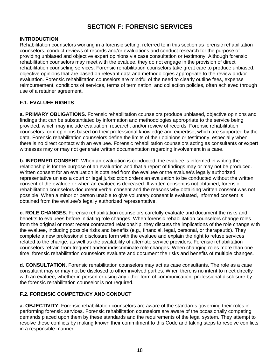## **SECTION F: FORENSIC SERVICES**

#### **INTRODUCTION**

Rehabilitation counselors working in a forensic setting, referred to in this section as forensic rehabilitation counselors, conduct reviews of records and/or evaluations and conduct research for the purpose of providing unbiased and objective expert opinions via case consultation or testimony. Although forensic rehabilitation counselors may meet with the evaluee, they do not engage in the provision of direct rehabilitation counseling services. Forensic rehabilitation counselors take great care to produce unbiased, objective opinions that are based on relevant data and methodologies appropriate to the review and/or evaluation. Forensic rehabilitation counselors are mindful of the need to clearly outline fees, expense reimbursement, conditions of services, terms of termination, and collection policies, often achieved through use of a retainer agreement.

#### **F.1. EVALUEE RIGHTS**

**a. PRIMARY OBLIGATIONS.** Forensic rehabilitation counselors produce unbiased, objective opinions and findings that can be substantiated by information and methodologies appropriate to the service being provided, which may include evaluation, research, and/or review of records. Forensic rehabilitation counselors form opinions based on their professional knowledge and expertise, which are supported by the data. Forensic rehabilitation counselors define the limits of their opinions or testimony, especially when there is no direct contact with an evaluee. Forensic rehabilitation counselors acting as consultants or expert witnesses may or may not generate written documentation regarding involvement in a case.

**b. INFORMED CONSENT.** When an evaluation is conducted, the evaluee is informed in writing the relationship is for the purpose of an evaluation and that a report of findings may or may not be produced. Written consent for an evaluation is obtained from the evaluee or the evaluee's legally authorized representative unless a court or legal jurisdiction orders an evaluation to be conducted without the written consent of the evaluee or when an evaluee is deceased. If written consent is not obtained, forensic rehabilitation counselors document verbal consent and the reasons why obtaining written consent was not possible. When a minor or person unable to give voluntary consent is evaluated, informed consent is obtained from the evaluee's legally authorized representative.

**c. ROLE CHANGES.** Forensic rehabilitation counselors carefully evaluate and document the risks and benefits to evaluees before initiating role changes. When forensic rehabilitation counselors change roles from the original or most recent contracted relationship, they discuss the implications of the role change with the evaluee, including possible risks and benefits (e.g., financial, legal, personal, or therapeutic). They complete a new professional disclosure form with the evaluee and explain the right to refuse services related to the change, as well as the availability of alternate service providers. Forensic rehabilitation counselors refrain from frequent and/or indiscriminate role changes. When changing roles more than one time, forensic rehabilitation counselors evaluate and document the risks and benefits of multiple changes.

**d. CONSULTATION.** Forensic rehabilitation counselors may act as case consultants. The role as a case consultant may or may not be disclosed to other involved parties. When there is no intent to meet directly with an evaluee, whether in person or using any other form of communication, professional disclosure by the forensic rehabilitation counselor is not required.

#### **F.2. FORENSIC COMPETENCY AND CONDUCT**

**a. OBJECTIVITY.** Forensic rehabilitation counselors are aware of the standards governing their roles in performing forensic services. Forensic rehabilitation counselors are aware of the occasionally competing demands placed upon them by these standards and the requirements of the legal system. They attempt to resolve these conflicts by making known their commitment to this Code and taking steps to resolve conflicts in a responsible manner.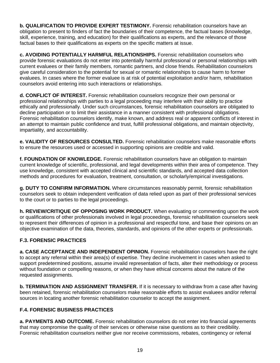**b. QUALIFICATION TO PROVIDE EXPERT TESTIMONY.** Forensic rehabilitation counselors have an obligation to present to finders of fact the boundaries of their competence, the factual bases (knowledge, skill, experience, training, and education) for their qualifications as experts, and the relevance of those factual bases to their qualifications as experts on the specific matters at issue.

**c. AVOIDING POTENTIALLY HARMFUL RELATIONSHIPS.** Forensic rehabilitation counselors who provide forensic evaluations do not enter into potentially harmful professional or personal relationships with current evaluees or their family members, romantic partners, and close friends. Rehabilitation counselors give careful consideration to the potential for sexual or romantic relationships to cause harm to former evaluees. In cases where the former evaluee is at risk of potential exploitation and/or harm, rehabilitation counselors avoid entering into such interactions or relationships.

**d. CONFLICT OF INTEREST.** Forensic rehabilitation counselors recognize their own personal or professional relationships with parties to a legal proceeding may interfere with their ability to practice ethically and professionally. Under such circumstances, forensic rehabilitation counselors are obligated to decline participation or to limit their assistance in a manner consistent with professional obligations. Forensic rehabilitation counselors identify, make known, and address real or apparent conflicts of interest in an attempt to maintain public confidence and trust, fulfill professional obligations, and maintain objectivity, impartiality, and accountability.

**e. VALIDITY OF RESOURCES CONSULTED.** Forensic rehabilitation counselors make reasonable efforts to ensure the resources used or accessed in supporting opinions are credible and valid.

**f. FOUNDATION OF KNOWLEDGE.** Forensic rehabilitation counselors have an obligation to maintain current knowledge of scientific, professional, and legal developments within their area of competence. They use knowledge, consistent with accepted clinical and scientific standards, and accepted data collection methods and procedures for evaluation, treatment, consultation, or scholarly/empirical investigations.

**g. DUTY TO CONFIRM INFORMATION.** Where circumstances reasonably permit, forensic rehabilitation counselors seek to obtain independent verification of data relied upon as part of their professional services to the court or to parties to the legal proceedings.

**h. REVIEW/CRITIQUE OF OPPOSING WORK PRODUCT.** When evaluating or commenting upon the work or qualifications of other professionals involved in legal proceedings, forensic rehabilitation counselors seek to represent their differences of opinion in a professional and respectful tone, and base their opinions on an objective examination of the data, theories, standards, and opinions of the other experts or professionals.

#### **F.3. FORENSIC PRACTICES**

**a. CASE ACCEPTANCE AND INDEPENDENT OPINION.** Forensic rehabilitation counselors have the right to accept any referral within their area(s) of expertise. They decline involvement in cases when asked to support predetermined positions, assume invalid representation of facts, alter their methodology or process without foundation or compelling reasons, or when they have ethical concerns about the nature of the requested assignments.

**b. TERMINATION AND ASSIGNMENT TRANSFER.** If it is necessary to withdraw from a case after having been retained, forensic rehabilitation counselors make reasonable efforts to assist evaluees and/or referral sources in locating another forensic rehabilitation counselor to accept the assignment.

#### **F.4. FORENSIC BUSINESS PRACTICES**

**a. PAYMENTS AND OUTCOME.** Forensic rehabilitation counselors do not enter into financial agreements that may compromise the quality of their services or otherwise raise questions as to their credibility. Forensic rehabilitation counselors neither give nor receive commissions, rebates, contingency or referral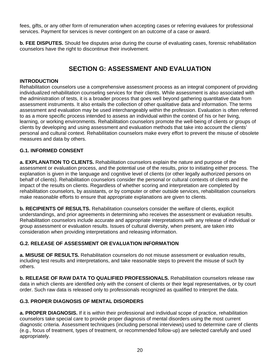fees, gifts, or any other form of remuneration when accepting cases or referring evaluees for professional services. Payment for services is never contingent on an outcome of a case or award.

**b. FEE DISPUTES.** Should fee disputes arise during the course of evaluating cases, forensic rehabilitation counselors have the right to discontinue their involvement.

## **SECTION G: ASSESSMENT AND EVALUATION**

#### **INTRODUCTION**

Rehabilitation counselors use a comprehensive assessment process as an integral component of providing individualized rehabilitation counseling services for their clients. While assessment is also associated with the administration of tests, it is a broader process that goes well beyond gathering quantitative data from assessment instruments. It also entails the collection of other qualitative data and information. The terms assessment and evaluation may be used interchangeably within the profession. Evaluation is often referred to as a more specific process intended to assess an individual within the context of his or her living, learning, or working environments. Rehabilitation counselors promote the well-being of clients or groups of clients by developing and using assessment and evaluation methods that take into account the clients' personal and cultural context. Rehabilitation counselors make every effort to prevent the misuse of obsolete measures and data by others.

#### **G.1. INFORMED CONSENT**

**a. EXPLANATION TO CLIENTS.** Rehabilitation counselors explain the nature and purpose of the assessment or evaluation process, and the potential use of the results, prior to initiating either process. The explanation is given in the language and cognitive level of clients (or other legally authorized persons on behalf of clients). Rehabilitation counselors consider the personal or cultural contexts of clients and the impact of the results on clients. Regardless of whether scoring and interpretation are completed by rehabilitation counselors, by assistants, or by computer or other outside services, rehabilitation counselors make reasonable efforts to ensure that appropriate explanations are given to clients.

**b. RECIPIENTS OF RESULTS.** Rehabilitation counselors consider the welfare of clients, explicit understandings, and prior agreements in determining who receives the assessment or evaluation results. Rehabilitation counselors include accurate and appropriate interpretations with any release of individual or group assessment or evaluation results. Issues of cultural diversity, when present, are taken into consideration when providing interpretations and releasing information.

#### **G.2. RELEASE OF ASSESSMENT OR EVALUATION INFORMATION**

**a. MISUSE OF RESULTS.** Rehabilitation counselors do not misuse assessment or evaluation results, including test results and interpretations, and take reasonable steps to prevent the misuse of such by others.

**b. RELEASE OF RAW DATA TO QUALIFIED PROFESSIONALS.** Rehabilitation counselors release raw data in which clients are identified only with the consent of clients or their legal representatives, or by court order. Such raw data is released only to professionals recognized as qualified to interpret the data.

#### **G.3. PROPER DIAGNOSIS OF MENTAL DISORDERS**

**a. PROPER DIAGNOSIS.** If it is within their professional and individual scope of practice, rehabilitation counselors take special care to provide proper diagnosis of mental disorders using the most current diagnostic criteria. Assessment techniques (including personal interviews) used to determine care of clients (e.g., focus of treatment, types of treatment, or recommended follow-up) are selected carefully and used appropriately.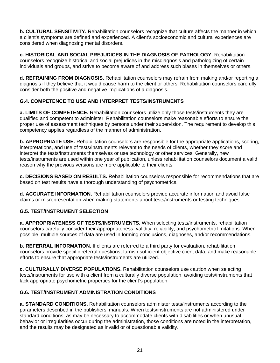**b. CULTURAL SENSITIVITY.** Rehabilitation counselors recognize that culture affects the manner in which a client's symptoms are defined and experienced. A client's socioeconomic and cultural experiences are considered when diagnosing mental disorders.

**c. HISTORICAL AND SOCIAL PREJUDICES IN THE DIAGNOSIS OF PATHOLOGY.** Rehabilitation counselors recognize historical and social prejudices in the misdiagnosis and pathologizing of certain individuals and groups, and strive to become aware of and address such biases in themselves or others.

**d. REFRAINING FROM DIAGNOSIS.** Rehabilitation counselors may refrain from making and/or reporting a diagnosis if they believe that it would cause harm to the client or others. Rehabilitation counselors carefully consider both the positive and negative implications of a diagnosis.

#### **G.4. COMPETENCE TO USE AND INTERPRET TESTS/INSTRUMENTS**

**a. LIMITS OF COMPETENCE.** Rehabilitation counselors utilize only those tests/instruments they are qualified and competent to administer. Rehabilitation counselors make reasonable efforts to ensure the proper use of assessment techniques by persons under their supervision. The requirement to develop this competency applies regardless of the manner of administration.

**b. APPROPRIATE USE.** Rehabilitation counselors are responsible for the appropriate applications, scoring, interpretations, and use of tests/instruments relevant to the needs of clients, whether they score and interpret the tests/instruments themselves or use technology or other services. Generally, new tests/instruments are used within one year of publication, unless rehabilitation counselors document a valid reason why the previous versions are more applicable to their clients.

**c. DECISIONS BASED ON RESULTS.** Rehabilitation counselors responsible for recommendations that are based on test results have a thorough understanding of psychometrics.

**d. ACCURATE INFORMATION.** Rehabilitation counselors provide accurate information and avoid false claims or misrepresentation when making statements about tests/instruments or testing techniques.

#### **G.5. TEST/INSTRUMENT SELECTION**

**a. APPROPRIATENESS OF TESTS/INSTRUMENTS.** When selecting tests/instruments, rehabilitation counselors carefully consider their appropriateness, validity, reliability, and psychometric limitations. When possible, multiple sources of data are used in forming conclusions, diagnoses, and/or recommendations.

**b. REFERRAL INFORMATION.** If clients are referred to a third party for evaluation, rehabilitation counselors provide specific referral questions, furnish sufficient objective client data, and make reasonable efforts to ensure that appropriate tests/instruments are utilized.

**c. CULTURALLY DIVERSE POPULATIONS.** Rehabilitation counselors use caution when selecting tests/instruments for use with a client from a culturally diverse population, avoiding tests/instruments that lack appropriate psychometric properties for the client's population.

#### **G.6. TEST/INSTRUMENT ADMINISTRATION CONDITIONS**

**a. STANDARD CONDITIONS.** Rehabilitation counselors administer tests/instruments according to the parameters described in the publishers' manuals. When tests/instruments are not administered under standard conditions, as may be necessary to accommodate clients with disabilities or when unusual behavior or irregularities occur during the administration, those conditions are noted in the interpretation, and the results may be designated as invalid or of questionable validity.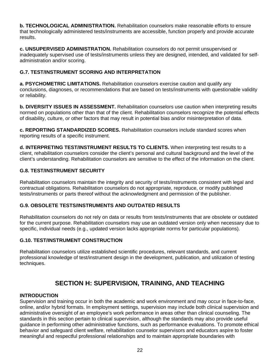**b. TECHNOLOGICAL ADMINISTRATION.** Rehabilitation counselors make reasonable efforts to ensure that technologically administered tests/instruments are accessible, function properly and provide accurate results.

**c. UNSUPERVISED ADMINISTRATION.** Rehabilitation counselors do not permit unsupervised or inadequately supervised use of tests/instruments unless they are designed, intended, and validated for selfadministration and/or scoring.

#### **G.7. TEST/INSTRUMENT SCORING AND INTERPRETATION**

**a. PSYCHOMETRIC LIMITATIONS.** Rehabilitation counselors exercise caution and qualify any conclusions, diagnoses, or recommendations that are based on tests/instruments with questionable validity or reliability.

**b. DIVERSITY ISSUES IN ASSESSMENT.** Rehabilitation counselors use caution when interpreting results normed on populations other than that of the client. Rehabilitation counselors recognize the potential effects of disability, culture, or other factors that may result in potential bias and/or misinterpretation of data.

**c. REPORTING STANDARDIZED SCORES.** Rehabilitation counselors include standard scores when reporting results of a specific instrument.

**d. INTERPRETING TEST/INSTRUMENT RESULTS TO CLIENTS.** When interpreting test results to a client, rehabilitation counselors consider the client's personal and cultural background and the level of the client's understanding. Rehabilitation counselors are sensitive to the effect of the information on the client.

#### **G.8. TEST/INSTRUMENT SECURITY**

Rehabilitation counselors maintain the integrity and security of tests/instruments consistent with legal and contractual obligations. Rehabilitation counselors do not appropriate, reproduce, or modify published tests/instruments or parts thereof without the acknowledgment and permission of the publisher.

#### **G.9. OBSOLETE TESTS/INSTRUMENTS AND OUTDATED RESULTS**

Rehabilitation counselors do not rely on data or results from tests/instruments that are obsolete or outdated for the current purpose. Rehabilitation counselors may use an outdated version only when necessary due to specific, individual needs (e.g., updated version lacks appropriate norms for particular populations).

#### **G.10. TEST/INSTRUMENT CONSTRUCTION**

Rehabilitation counselors utilize established scientific procedures, relevant standards, and current professional knowledge of test/instrument design in the development, publication, and utilization of testing techniques.

## **SECTION H: SUPERVISION, TRAINING, AND TEACHING**

#### **INTRODUCTION**

Supervision and training occur in both the academic and work environment and may occur in face-to-face, online, and/or hybrid formats. In employment settings, supervision may include both clinical supervision and administrative oversight of an employee's work performance in areas other than clinical counseling. The standards in this section pertain to clinical supervision, although the standards may also provide useful guidance in performing other administrative functions, such as performance evaluations. To promote ethical behavior and safeguard client welfare, rehabilitation counselor supervisors and educators aspire to foster meaningful and respectful professional relationships and to maintain appropriate boundaries with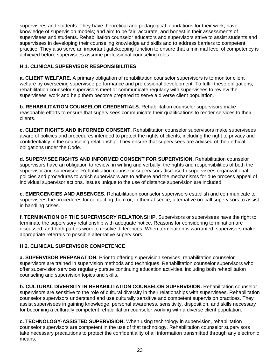supervisees and students. They have theoretical and pedagogical foundations for their work; have knowledge of supervision models; and aim to be fair, accurate, and honest in their assessments of supervisees and students. Rehabilitation counselor educators and supervisors strive to assist students and supervisees in developing their counseling knowledge and skills and to address barriers to competent practice. They also serve an important gatekeeping function to ensure that a minimal level of competency is achieved before supervisees assume professional counseling roles.

#### **H.1. CLINICAL SUPERVISOR RESPONSIBILITIES**

**a. CLIENT WELFARE.** A primary obligation of rehabilitation counselor supervisors is to monitor client welfare by overseeing supervisee performance and professional development. To fulfill these obligations, rehabilitation counselor supervisors meet or communicate regularly with supervisees to review the supervisees' work and help them become prepared to serve a diverse client population.

**b. REHABILITATION COUNSELOR CREDENTIALS.** Rehabilitation counselor supervisors make reasonable efforts to ensure that supervisees communicate their qualifications to render services to their clients.

**c. CLIENT RIGHTS AND INFORMED CONSENT.** Rehabilitation counselor supervisors make supervisees aware of policies and procedures intended to protect the rights of clients, including the right to privacy and confidentiality in the counseling relationship. They ensure that supervisees are advised of their ethical obligations under the Code.

**d. SUPERVISEE RIGHTS AND INFORMED CONSENT FOR SUPERVISION.** Rehabilitation counselor supervisors have an obligation to review, in writing and verbally, the rights and responsibilities of both the supervisor and supervisee. Rehabilitation counselor supervisors disclose to supervisees organizational policies and procedures to which supervisors are to adhere and the mechanisms for due process appeal of individual supervisor actions. Issues unique to the use of distance supervision are included.

**e. EMERGENCIES AND ABSENCES.** Rehabilitation counselor supervisors establish and communicate to supervisees the procedures for contacting them or, in their absence, alternative on-call supervisors to assist in handling crises.

**f. TERMINATION OF THE SUPERVISORY RELATIONSHIP.** Supervisors or supervisees have the right to terminate the supervisory relationship with adequate notice. Reasons for considering termination are discussed, and both parties work to resolve differences. When termination is warranted, supervisors make appropriate referrals to possible alternative supervisors.

#### **H.2. CLINICAL SUPERVISOR COMPETENCE**

**a. SUPERVISOR PREPARATION.** Prior to offering supervision services, rehabilitation counselor supervisors are trained in supervision methods and techniques. Rehabilitation counselor supervisors who offer supervision services regularly pursue continuing education activities, including both rehabilitation counseling and supervision topics and skills.

**b. CULTURAL DIVERSITY IN REHABILITATION COUNSELOR SUPERVISION.** Rehabilitation counselor supervisors are sensitive to the role of cultural diversity in their relationships with supervisees. Rehabilitation counselor supervisors understand and use culturally sensitive and competent supervision practices. They assist supervisees in gaining knowledge, personal awareness, sensitivity, disposition, and skills necessary for becoming a culturally competent rehabilitation counselor working with a diverse client population.

**c. TECHNOLOGY-ASSISTED SUPERVISION.** When using technology in supervision, rehabilitation counselor supervisors are competent in the use of that technology. Rehabilitation counselor supervisors take necessary precautions to protect the confidentiality of all information transmitted through any electronic means.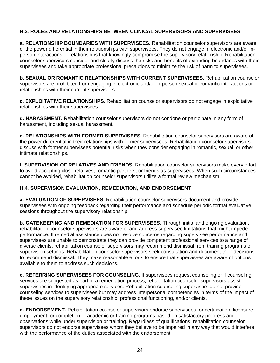#### **H.3. ROLES AND RELATIONSHIPS BETWEEN CLINICAL SUPERVISORS AND SUPERVISEES**

**a. RELATIONSHIP BOUNDARIES WITH SUPERVISEES.** Rehabilitation counselor supervisors are aware of the power differential in their relationships with supervisees. They do not engage in electronic and/or inperson interactions or relationships that knowingly compromise the supervisory relationship. Rehabilitation counselor supervisors consider and clearly discuss the risks and benefits of extending boundaries with their supervisees and take appropriate professional precautions to minimize the risk of harm to supervisees.

**b. SEXUAL OR ROMANTIC RELATIONSHIPS WITH CURRENT SUPERVISEES.** Rehabilitation counselor supervisors are prohibited from engaging in electronic and/or in-person sexual or romantic interactions or relationships with their current supervisees.

**c. EXPLOITATIVE RELATIONSHIPS.** Rehabilitation counselor supervisors do not engage in exploitative relationships with their supervisees.

**d. HARASSMENT.** Rehabilitation counselor supervisors do not condone or participate in any form of harassment, including sexual harassment.

**e. RELATIONSHIPS WITH FORMER SUPERVISEES.** Rehabilitation counselor supervisors are aware of the power differential in their relationships with former supervisees. Rehabilitation counselor supervisors discuss with former supervisees potential risks when they consider engaging in romantic, sexual, or other intimate relationships.

**f. SUPERVISION OF RELATIVES AND FRIENDS.** Rehabilitation counselor supervisors make every effort to avoid accepting close relatives, romantic partners, or friends as supervisees. When such circumstances cannot be avoided, rehabilitation counselor supervisors utilize a formal review mechanism.

#### **H.4. SUPERVISION EVALUATION, REMEDIATION, AND ENDORSEMENT**

**a. EVALUATION OF SUPERVISEES.** Rehabilitation counselor supervisors document and provide supervisees with ongoing feedback regarding their performance and schedule periodic formal evaluative sessions throughout the supervisory relationship.

**b. GATEKEEPING AND REMEDIATION FOR SUPERVISEES.** Through initial and ongoing evaluation, rehabilitation counselor supervisors are aware of and address supervisee limitations that might impede performance. If remedial assistance does not resolve concerns regarding supervisee performance and supervisees are unable to demonstrate they can provide competent professional services to a range of diverse clients, rehabilitation counselor supervisors may recommend dismissal from training programs or supervision settings. Rehabilitation counselor supervisors seek consultation and document their decisions to recommend dismissal. They make reasonable efforts to ensure that supervisees are aware of options available to them to address such decisions.

**c. REFERRING SUPERVISEES FOR COUNSELING.** If supervisees request counseling or if counseling services are suggested as part of a remediation process, rehabilitation counselor supervisors assist supervisees in identifying appropriate services. Rehabilitation counseling supervisors do not provide counseling services to supervisees but may address interpersonal competencies in terms of the impact of these issues on the supervisory relationship, professional functioning, and/or clients.

**d. ENDORSEMENT.** Rehabilitation counselor supervisors endorse supervisees for certification, licensure, employment, or completion of academic or training programs based on satisfactory progress and observations while under supervision or training. Regardless of qualifications, rehabilitation counselor supervisors do not endorse supervisees whom they believe to be impaired in any way that would interfere with the performance of the duties associated with the endorsement.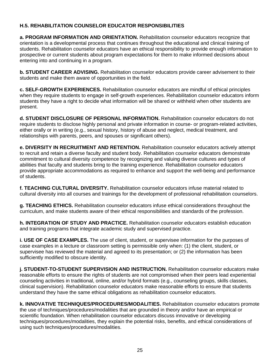#### **H.5. REHABILITATION COUNSELOR EDUCATOR RESPONSIBILITIES**

**a. PROGRAM INFORMATION AND ORIENTATION.** Rehabilitation counselor educators recognize that orientation is a developmental process that continues throughout the educational and clinical training of students. Rehabilitation counselor educators have an ethical responsibility to provide enough information to prospective or current students about program expectations for them to make informed decisions about entering into and continuing in a program.

**b. STUDENT CAREER ADVISING.** Rehabilitation counselor educators provide career advisement to their students and make them aware of opportunities in the field.

**c. SELF-GROWTH EXPERIENCES.** Rehabilitation counselor educators are mindful of ethical principles when they require students to engage in self-growth experiences. Rehabilitation counselor educators inform students they have a right to decide what information will be shared or withheld when other students are present.

**d. STUDENT DISCLOSURE OF PERSONAL INFORMATION.** Rehabilitation counselor educators do not require students to disclose highly personal and private information in course- or program-related activities, either orally or in writing (e.g., sexual history, history of abuse and neglect, medical treatment, and relationships with parents, peers, and spouses or significant others).

**e. DIVERSITY IN RECRUITMENT AND RETENTION.** Rehabilitation counselor educators actively attempt to recruit and retain a diverse faculty and student body. Rehabilitation counselor educators demonstrate commitment to cultural diversity competence by recognizing and valuing diverse cultures and types of abilities that faculty and students bring to the training experience. Rehabilitation counselor educators provide appropriate accommodations as required to enhance and support the well-being and performance of students.

**f. TEACHING CULTURAL DIVERSITY.** Rehabilitation counselor educators infuse material related to cultural diversity into all courses and trainings for the development of professional rehabilitation counselors.

**g. TEACHING ETHICS.** Rehabilitation counselor educators infuse ethical considerations throughout the curriculum, and make students aware of their ethical responsibilities and standards of the profession.

**h. INTEGRATION OF STUDY AND PRACTICE.** Rehabilitation counselor educators establish education and training programs that integrate academic study and supervised practice.

**i. USE OF CASE EXAMPLES.** The use of client, student, or supervisee information for the purposes of case examples in a lecture or classroom setting is permissible only when: (1) the client, student, or supervisee has reviewed the material and agreed to its presentation; or (2) the information has been sufficiently modified to obscure identity.

**j. STUDENT-TO-STUDENT SUPERVISION AND INSTRUCTION.** Rehabilitation counselor educators make reasonable efforts to ensure the rights of students are not compromised when their peers lead experiential counseling activities in traditional, online, and/or hybrid formats (e.g., counseling groups, skills classes, clinical supervision). Rehabilitation counselor educators make reasonable efforts to ensure that students understand they have the same ethical obligations as rehabilitation counselor educators.

**k. INNOVATIVE TECHNIQUES/PROCEDURES/MODALITIES.** Rehabilitation counselor educators promote the use of techniques/procedures/modalities that are grounded in theory and/or have an empirical or scientific foundation. When rehabilitation counselor educators discuss innovative or developing techniques/procedures/modalities, they explain the potential risks, benefits, and ethical considerations of using such techniques/procedures/modalities.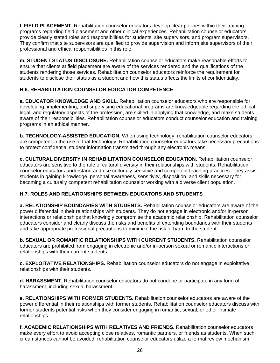**l. FIELD PLACEMENT.** Rehabilitation counselor educators develop clear policies within their training programs regarding field placement and other clinical experiences. Rehabilitation counselor educators provide clearly stated roles and responsibilities for students, site supervisors, and program supervisors. They confirm that site supervisors are qualified to provide supervision and inform site supervisors of their professional and ethical responsibilities in this role.

**m. STUDENT STATUS DISCLOSURE.** Rehabilitation counselor educators make reasonable efforts to ensure that clients at field placement are aware of the services rendered and the qualifications of the students rendering those services. Rehabilitation counselor educators reinforce the requirement for students to disclose their status as a student and how this status affects the limits of confidentiality.

#### **H.6. REHABILITATION COUNSELOR EDUCATOR COMPETENCE**

**a. EDUCATOR KNOWLEDGE AND SKILL.** Rehabilitation counselor educators who are responsible for developing, implementing, and supervising educational programs are knowledgeable regarding the ethical, legal, and regulatory aspects of the profession, are skilled in applying that knowledge, and make students aware of their responsibilities. Rehabilitation counselor educators conduct counselor education and training programs in an ethical manner.

**b. TECHNOLOGY-ASSISTED EDUCATION.** When using technology, rehabilitation counselor educators are competent in the use of that technology. Rehabilitation counselor educators take necessary precautions to protect confidential student information transmitted through any electronic means.

**c. CULTURAL DIVERSITY IN REHABILITATION COUNSELOR EDUCATION.** Rehabilitation counselor educators are sensitive to the role of cultural diversity in their relationships with students. Rehabilitation counselor educators understand and use culturally sensitive and competent teaching practices. They assist students in gaining knowledge, personal awareness, sensitivity, disposition, and skills necessary for becoming a culturally competent rehabilitation counselor working with a diverse client population.

#### **H.7. ROLES AND RELATIONSHIPS BETWEEN EDUCATORS AND STUDENTS**

**a. RELATIONSHIP BOUNDARIES WITH STUDENTS.** Rehabilitation counselor educators are aware of the power differential in their relationships with students. They do not engage in electronic and/or in-person interactions or relationships that knowingly compromise the academic relationship. Rehabilitation counselor educators consider and clearly discuss the risks and benefits of extending boundaries with their students and take appropriate professional precautions to minimize the risk of harm to the student.

**b. SEXUAL OR ROMANTIC RELATIONSHIPS WITH CURRENT STUDENTS.** Rehabilitation counselor educators are prohibited from engaging in electronic and/or in-person sexual or romantic interactions or relationships with their current students.

**c. EXPLOITATIVE RELATIONSHIPS.** Rehabilitation counselor educators do not engage in exploitative relationships with their students.

**d. HARASSMENT.** Rehabilitation counselor educators do not condone or participate in any form of harassment, including sexual harassment.

**e. RELATIONSHIPS WITH FORMER STUDENTS.** Rehabilitation counselor educators are aware of the power differential in their relationships with former students. Rehabilitation counselor educators discuss with former students potential risks when they consider engaging in romantic, sexual, or other intimate relationships.

**f. ACADEMIC RELATIONSHIPS WITH RELATIVES AND FRIENDS.** Rehabilitation counselor educators make every effort to avoid accepting close relatives, romantic partners, or friends as students. When such circumstances cannot be avoided, rehabilitation counselor educators utilize a formal review mechanism.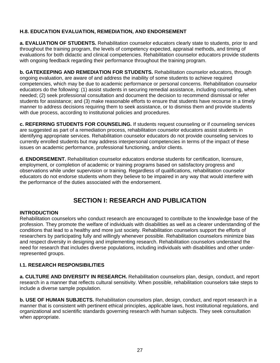#### **H.8. EDUCATION EVALUATION, REMEDIATION, AND ENDORSEMENT**

**a. EVALUATION OF STUDENTS.** Rehabilitation counselor educators clearly state to students, prior to and throughout the training program, the levels of competency expected, appraisal methods, and timing of evaluations for both didactic and clinical competencies. Rehabilitation counselor educators provide students with ongoing feedback regarding their performance throughout the training program.

**b. GATEKEEPING AND REMEDIATION FOR STUDENTS.** Rehabilitation counselor educators, through ongoing evaluation, are aware of and address the inability of some students to achieve required competencies, which may be due to academic performance or personal concerns. Rehabilitation counselor educators do the following: (1) assist students in securing remedial assistance, including counseling, when needed; (2) seek professional consultation and document the decision to recommend dismissal or refer students for assistance; and (3) make reasonable efforts to ensure that students have recourse in a timely manner to address decisions requiring them to seek assistance, or to dismiss them and provide students with due process, according to institutional policies and procedures.

**c. REFERRING STUDENTS FOR COUNSELING.** If students request counseling or if counseling services are suggested as part of a remediation process, rehabilitation counselor educators assist students in identifying appropriate services. Rehabilitation counselor educators do not provide counseling services to currently enrolled students but may address interpersonal competencies in terms of the impact of these issues on academic performance, professional functioning, and/or clients.

**d. ENDORSEMENT.** Rehabilitation counselor educators endorse students for certification, licensure, employment, or completion of academic or training programs based on satisfactory progress and observations while under supervision or training. Regardless of qualifications, rehabilitation counselor educators do not endorse students whom they believe to be impaired in any way that would interfere with the performance of the duties associated with the endorsement.

## **SECTION I: RESEARCH AND PUBLICATION**

#### **INTRODUCTION**

Rehabilitation counselors who conduct research are encouraged to contribute to the knowledge base of the profession. They promote the welfare of individuals with disabilities as well as a clearer understanding of the conditions that lead to a healthy and more just society. Rehabilitation counselors support the efforts of researchers by participating fully and willingly whenever possible. Rehabilitation counselors minimize bias and respect diversity in designing and implementing research. Rehabilitation counselors understand the need for research that includes diverse populations, including individuals with disabilities and other underrepresented groups.

#### **I.1. RESEARCH RESPONSIBILITIES**

**a. CULTURE AND DIVERSITY IN RESEARCH.** Rehabilitation counselors plan, design, conduct, and report research in a manner that reflects cultural sensitivity. When possible, rehabilitation counselors take steps to include a diverse sample population.

**b. USE OF HUMAN SUBJECTS.** Rehabilitation counselors plan, design, conduct, and report research in a manner that is consistent with pertinent ethical principles, applicable laws, host institutional regulations, and organizational and scientific standards governing research with human subjects. They seek consultation when appropriate.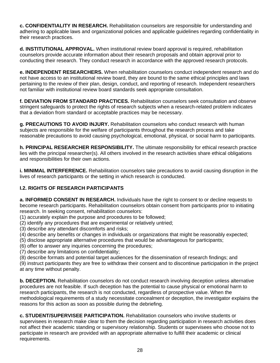**c. CONFIDENTIALITY IN RESEARCH.** Rehabilitation counselors are responsible for understanding and adhering to applicable laws and organizational policies and applicable guidelines regarding confidentiality in their research practices.

**d. INSTITUTIONAL APPROVAL.** When institutional review board approval is required, rehabilitation counselors provide accurate information about their research proposals and obtain approval prior to conducting their research. They conduct research in accordance with the approved research protocols.

**e. INDEPENDENT RESEARCHERS.** When rehabilitation counselors conduct independent research and do not have access to an institutional review board, they are bound to the same ethical principles and laws pertaining to the review of their plan, design, conduct, and reporting of research. Independent researchers not familiar with institutional review board standards seek appropriate consultation.

**f. DEVIATION FROM STANDARD PRACTICES.** Rehabilitation counselors seek consultation and observe stringent safeguards to protect the rights of research subjects when a research-related problem indicates that a deviation from standard or acceptable practices may be necessary.

**g. PRECAUTIONS TO AVOID INJURY.** Rehabilitation counselors who conduct research with human subjects are responsible for the welfare of participants throughout the research process and take reasonable precautions to avoid causing psychological, emotional, physical, or social harm to participants.

**h. PRINCIPAL RESEARCHER RESPONSIBILITY.** The ultimate responsibility for ethical research practice lies with the principal researcher(s). All others involved in the research activities share ethical obligations and responsibilities for their own actions.

**i. MINIMAL INTERFERENCE.** Rehabilitation counselors take precautions to avoid causing disruption in the lives of research participants or the setting in which research is conducted.

#### **I.2. RIGHTS OF RESEARCH PARTICIPANTS**

**a. INFORMED CONSENT IN RESEARCH.** Individuals have the right to consent to or decline requests to become research participants. Rehabilitation counselors obtain consent from participants prior to initiating research. In seeking consent, rehabilitation counselors:

- (1) accurately explain the purpose and procedures to be followed;
- (2) identify any procedures that are experimental or relatively untried;
- (3) describe any attendant discomforts and risks;
- (4) describe any benefits or changes in individuals or organizations that might be reasonably expected;
- (5) disclose appropriate alternative procedures that would be advantageous for participants;
- (6) offer to answer any inquiries concerning the procedures;
- (7) describe any limitations on confidentiality;
- (8) describe formats and potential target audiences for the dissemination of research findings; and

(9) instruct participants they are free to withdraw their consent and to discontinue participation in the project at any time without penalty.

**b. DECEPTION.** Rehabilitation counselors do not conduct research involving deception unless alternative procedures are not feasible. If such deception has the potential to cause physical or emotional harm to research participants, the research is not conducted, regardless of prospective value. When the methodological requirements of a study necessitate concealment or deception, the investigator explains the reasons for this action as soon as possible during the debriefing.

**c. STUDENT/SUPERVISEE PARTICIPATION.** Rehabilitation counselors who involve students or supervisees in research make clear to them the decision regarding participation in research activities does not affect their academic standing or supervisory relationship. Students or supervisees who choose not to participate in research are provided with an appropriate alternative to fulfill their academic or clinical requirements.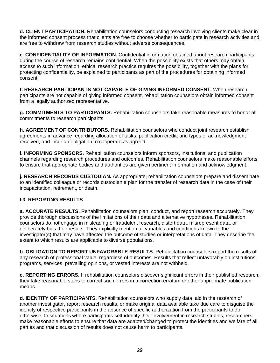**d. CLIENT PARTICIPATION.** Rehabilitation counselors conducting research involving clients make clear in the informed consent process that clients are free to choose whether to participate in research activities and are free to withdraw from research studies without adverse consequences.

**e. CONFIDENTIALITY OF INFORMATION.** Confidential information obtained about research participants during the course of research remains confidential. When the possibility exists that others may obtain access to such information, ethical research practice requires the possibility, together with the plans for protecting confidentiality, be explained to participants as part of the procedures for obtaining informed consent.

**f. RESEARCH PARTICIPANTS NOT CAPABLE OF GIVING INFORMED CONSENT.** When research participants are not capable of giving informed consent, rehabilitation counselors obtain informed consent from a legally authorized representative.

**g. COMMITMENTS TO PARTICIPANTS.** Rehabilitation counselors take reasonable measures to honor all commitments to research participants.

**h. AGREEMENT OF CONTRIBUTORS.** Rehabilitation counselors who conduct joint research establish agreements in advance regarding allocation of tasks, publication credit, and types of acknowledgment received, and incur an obligation to cooperate as agreed.

**i. INFORMING SPONSORS.** Rehabilitation counselors inform sponsors, institutions, and publication channels regarding research procedures and outcomes. Rehabilitation counselors make reasonable efforts to ensure that appropriate bodies and authorities are given pertinent information and acknowledgment.

**j. RESEARCH RECORDS CUSTODIAN.** As appropriate, rehabilitation counselors prepare and disseminate to an identified colleague or records custodian a plan for the transfer of research data in the case of their incapacitation, retirement, or death.

#### **I.3. REPORTING RESULTS**

**a. ACCURATE RESULTS.** Rehabilitation counselors plan, conduct, and report research accurately. They provide thorough discussions of the limitations of their data and alternative hypotheses. Rehabilitation counselors do not engage in misleading or fraudulent research, distort data, misrepresent data, or deliberately bias their results. They explicitly mention all variables and conditions known to the investigator(s) that may have affected the outcome of studies or interpretations of data. They describe the extent to which results are applicable to diverse populations.

**b. OBLIGATION TO REPORT UNFAVORABLE RESULTS.** Rehabilitation counselors report the results of any research of professional value, regardless of outcomes. Results that reflect unfavorably on institutions, programs, services, prevailing opinions, or vested interests are not withheld.

**c. REPORTING ERRORS.** If rehabilitation counselors discover significant errors in their published research, they take reasonable steps to correct such errors in a correction erratum or other appropriate publication means.

**d. IDENTITY OF PARTICIPANTS.** Rehabilitation counselors who supply data, aid in the research of another investigator, report research results, or make original data available take due care to disguise the identity of respective participants in the absence of specific authorization from the participants to do otherwise. In situations where participants self-identify their involvement in research studies, researchers make reasonable efforts to ensure that data are adapted/changed to protect the identities and welfare of all parties and that discussion of results does not cause harm to participants.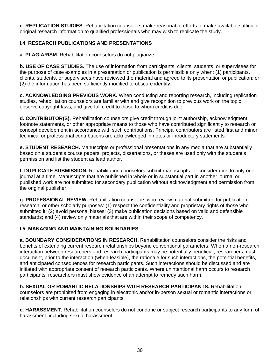**e. REPLICATION STUDIES.** Rehabilitation counselors make reasonable efforts to make available sufficient original research information to qualified professionals who may wish to replicate the study.

#### **I.4. RESEARCH PUBLICATIONS AND PRESENTATIONS**

**a. PLAGIARISM.** Rehabilitation counselors do not plagiarize.

**b. USE OF CASE STUDIES.** The use of information from participants, clients, students, or supervisees for the purpose of case examples in a presentation or publication is permissible only when: (1) participants, clients, students, or supervisees have reviewed the material and agreed to its presentation or publication; or (2) the information has been sufficiently modified to obscure identity.

**c. ACKNOWLEDGING PREVIOUS WORK.** When conducting and reporting research, including replication studies, rehabilitation counselors are familiar with and give recognition to previous work on the topic, observe copyright laws, and give full credit to those to whom credit is due.

**d. CONTRIBUTOR(S).** Rehabilitation counselors give credit through joint authorship, acknowledgment, footnote statements, or other appropriate means to those who have contributed significantly to research or concept development in accordance with such contributions. Principal contributors are listed first and minor technical or professional contributions are acknowledged in notes or introductory statements.

**e. STUDENT RESEARCH.** Manuscripts or professional presentations in any media that are substantially based on a student's course papers, projects, dissertations, or theses are used only with the student's permission and list the student as lead author.

**f. DUPLICATE SUBMISSION.** Rehabilitation counselors submit manuscripts for consideration to only one journal at a time. Manuscripts that are published in whole or in substantial part in another journal or published work are not submitted for secondary publication without acknowledgment and permission from the original publisher.

**g. PROFESSIONAL REVIEW.** Rehabilitation counselors who review material submitted for publication, research, or other scholarly purposes: (1) respect the confidentiality and proprietary rights of those who submitted it; (2) avoid personal biases; (3) make publication decisions based on valid and defensible standards; and (4) review only materials that are within their scope of competency.

#### **I.5. MANAGING AND MAINTAINING BOUNDARIES**

**a. BOUNDARY CONSIDERATIONS IN RESEARCH.** Rehabilitation counselors consider the risks and benefits of extending current research relationships beyond conventional parameters. When a non-research interaction between researchers and research participants may be potentially beneficial, researchers must document, prior to the interaction (when feasible), the rationale for such interactions, the potential benefits, and anticipated consequences for research participants. Such interactions should be discussed and are initiated with appropriate consent of research participants. Where unintentional harm occurs to research participants, researchers must show evidence of an attempt to remedy such harm.

**b. SEXUAL OR ROMANTIC RELATIONSHIPS WITH RESEARCH PARTICIPANTS.** Rehabilitation counselors are prohibited from engaging in electronic and/or in-person sexual or romantic interactions or relationships with current research participants.

**c. HARASSMENT.** Rehabilitation counselors do not condone or subject research participants to any form of harassment, including sexual harassment.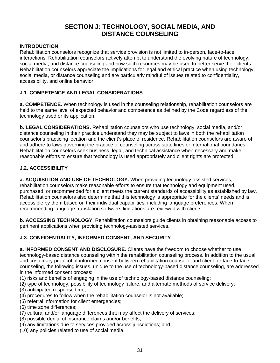## **SECTION J: TECHNOLOGY, SOCIAL MEDIA, AND DISTANCE COUNSELING**

#### **INTRODUCTION**

Rehabilitation counselors recognize that service provision is not limited to in-person, face-to-face interactions. Rehabilitation counselors actively attempt to understand the evolving nature of technology, social media, and distance counseling and how such resources may be used to better serve their clients. Rehabilitation counselors appreciate the implications for legal and ethical practice when using technology, social media, or distance counseling and are particularly mindful of issues related to confidentiality, accessibility, and online behavior.

#### **J.1. COMPETENCE AND LEGAL CONSIDERATIONS**

**a. COMPETENCE.** When technology is used in the counseling relationship, rehabilitation counselors are held to the same level of expected behavior and competence as defined by the Code regardless of the technology used or its application.

**b. LEGAL CONSIDERATIONS.** Rehabilitation counselors who use technology, social media, and/or distance counseling in their practice understand they may be subject to laws in both the rehabilitation counselor's practicing location and the client's place of residence. Rehabilitation counselors are aware of and adhere to laws governing the practice of counseling across state lines or international boundaries. Rehabilitation counselors seek business, legal, and technical assistance when necessary and make reasonable efforts to ensure that technology is used appropriately and client rights are protected.

#### **J.2. ACCESSIBILITY**

**a. ACQUISITION AND USE OF TECHNOLOGY.** When providing technology-assisted services, rehabilitation counselors make reasonable efforts to ensure that technology and equipment used, purchased, or recommended for a client meets the current standards of accessibility as established by law. Rehabilitation counselors also determine that this technology is appropriate for the clients' needs and is accessible by them based on their individual capabilities, including language preferences. When recommending language translation software, limitations are reviewed with clients.

**b. ACCESSING TECHNOLOGY.** Rehabilitation counselors guide clients in obtaining reasonable access to pertinent applications when providing technology-assisted services.

#### **J.3. CONFIDENTIALITY, INFORMED CONSENT, AND SECURITY**

**a. INFORMED CONSENT AND DISCLOSURE.** Clients have the freedom to choose whether to use technology-based distance counseling within the rehabilitation counseling process. In addition to the usual and customary protocol of informed consent between rehabilitation counselor and client for face-to-face counseling, the following issues, unique to the use of technology-based distance counseling, are addressed in the informed consent process:

- (1) risks and benefits of engaging in the use of technology-based distance counseling;
- (2) type of technology, possibility of technology failure, and alternate methods of service delivery;
- (3) anticipated response time;
- (4) procedures to follow when the rehabilitation counselor is not available;
- (5) referral information for client emergencies;
- (6) time zone differences;
- (7) cultural and/or language differences that may affect the delivery of services;
- (8) possible denial of insurance claims and/or benefits;
- (9) any limitations due to services provided across jurisdictions; and
- (10) any policies related to use of social media.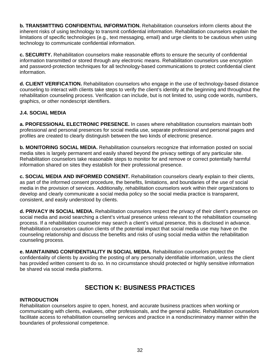**b. TRANSMITTING CONFIDENTIAL INFORMATION.** Rehabilitation counselors inform clients about the inherent risks of using technology to transmit confidential information. Rehabilitation counselors explain the limitations of specific technologies (e.g., text messaging, email) and urge clients to be cautious when using technology to communicate confidential information.

**c. SECURITY.** Rehabilitation counselors make reasonable efforts to ensure the security of confidential information transmitted or stored through any electronic means. Rehabilitation counselors use encryption and password-protection techniques for all technology-based communications to protect confidential client information.

**d. CLIENT VERIFICATION.** Rehabilitation counselors who engage in the use of technology-based distance counseling to interact with clients take steps to verify the client's identity at the beginning and throughout the rehabilitation counseling process. Verification can include, but is not limited to, using code words, numbers, graphics, or other nondescript identifiers.

#### **J.4. SOCIAL MEDIA**

**a. PROFESSIONAL ELECTRONIC PRESENCE.** In cases where rehabilitation counselors maintain both professional and personal presences for social media use, separate professional and personal pages and profiles are created to clearly distinguish between the two kinds of electronic presence.

**b. MONITORING SOCIAL MEDIA.** Rehabilitation counselors recognize that information posted on social media sites is largely permanent and easily shared beyond the privacy settings of any particular site. Rehabilitation counselors take reasonable steps to monitor for and remove or correct potentially harmful information shared on sites they establish for their professional presence.

**c. SOCIAL MEDIA AND INFORMED CONSENT.** Rehabilitation counselors clearly explain to their clients, as part of the informed consent procedure, the benefits, limitations, and boundaries of the use of social media in the provision of services. Additionally, rehabilitation counselors work within their organizations to develop and clearly communicate a social media policy so the social media practice is transparent, consistent, and easily understood by clients.

**d. PRIVACY IN SOCIAL MEDIA.** Rehabilitation counselors respect the privacy of their client's presence on social media and avoid searching a client's virtual presence unless relevant to the rehabilitation counseling process. If a rehabilitation counselor may search a client's virtual presence, this is disclosed in advance. Rehabilitation counselors caution clients of the potential impact that social media use may have on the counseling relationship and discuss the benefits and risks of using social media within the rehabilitation counseling process.

**e. MAINTAINING CONFIDENTIALITY IN SOCIAL MEDIA.** Rehabilitation counselors protect the confidentiality of clients by avoiding the posting of any personally identifiable information, unless the client has provided written consent to do so. In no circumstance should protected or highly sensitive information be shared via social media platforms.

## **SECTION K: BUSINESS PRACTICES**

#### **INTRODUCTION**

Rehabilitation counselors aspire to open, honest, and accurate business practices when working or communicating with clients, evaluees, other professionals, and the general public. Rehabilitation counselors facilitate access to rehabilitation counseling services and practice in a nondiscriminatory manner within the boundaries of professional competence.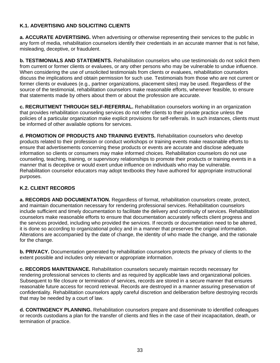#### **K.1. ADVERTISING AND SOLICITING CLIENTS**

**a. ACCURATE ADVERTISING.** When advertising or otherwise representing their services to the public in any form of media, rehabilitation counselors identify their credentials in an accurate manner that is not false, misleading, deceptive, or fraudulent.

**b. TESTIMONIALS AND STATEMENTS.** Rehabilitation counselors who use testimonials do not solicit them from current or former clients or evaluees, or any other persons who may be vulnerable to undue influence. When considering the use of unsolicited testimonials from clients or evaluees, rehabilitation counselors discuss the implications and obtain permission for such use. Testimonials from those who are not current or former clients or evaluees (e.g., partner organizations, placement sites) may be used. Regardless of the source of the testimonial, rehabilitation counselors make reasonable efforts, whenever feasible, to ensure that statements made by others about them or about the profession are accurate.

**c. RECRUITMENT THROUGH SELF-REFERRAL.** Rehabilitation counselors working in an organization that provides rehabilitation counseling services do not refer clients to their private practice unless the policies of a particular organization make explicit provisions for self-referrals. In such instances, clients must be informed of other available options for services.

**d. PROMOTION OF PRODUCTS AND TRAINING EVENTS.** Rehabilitation counselors who develop products related to their profession or conduct workshops or training events make reasonable efforts to ensure that advertisements concerning these products or events are accurate and disclose adequate information so clients or consumers may make informed choices. Rehabilitation counselors do not use counseling, teaching, training, or supervisory relationships to promote their products or training events in a manner that is deceptive or would exert undue influence on individuals who may be vulnerable. Rehabilitation counselor educators may adopt textbooks they have authored for appropriate instructional purposes.

#### **K.2. CLIENT RECORDS**

**a. RECORDS AND DOCUMENTATION.** Regardless of format, rehabilitation counselors create, protect, and maintain documentation necessary for rendering professional services. Rehabilitation counselors include sufficient and timely documentation to facilitate the delivery and continuity of services. Rehabilitation counselors make reasonable efforts to ensure that documentation accurately reflects client progress and the services provided, including who provided the services. If records or documentation need to be altered, it is done so according to organizational policy and in a manner that preserves the original information. Alterations are accompanied by the date of change, the identity of who made the change, and the rationale for the change.

**b. PRIVACY.** Documentation generated by rehabilitation counselors protects the privacy of clients to the extent possible and includes only relevant or appropriate information.

**c. RECORDS MAINTENANCE.** Rehabilitation counselors securely maintain records necessary for rendering professional services to clients and as required by applicable laws and organizational policies. Subsequent to file closure or termination of services, records are stored in a secure manner that ensures reasonable future access for record retrieval. Records are destroyed in a manner assuring preservation of confidentiality. Rehabilitation counselors apply careful discretion and deliberation before destroying records that may be needed by a court of law.

**d. CONTINGENCY PLANNING.** Rehabilitation counselors prepare and disseminate to identified colleagues or records custodians a plan for the transfer of clients and files in the case of their incapacitation, death, or termination of practice.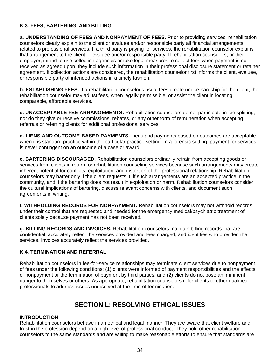#### **K.3. FEES, BARTERING, AND BILLING**

**a. UNDERSTANDING OF FEES AND NONPAYMENT OF FEES.** Prior to providing services, rehabilitation counselors clearly explain to the client or evaluee and/or responsible party all financial arrangements related to professional services. If a third party is paying for services, the rehabilitation counselor explains that arrangement to the client or evaluee and/or responsible party. If rehabilitation counselors, or their employer, intend to use collection agencies or take legal measures to collect fees when payment is not received as agreed upon, they include such information in their professional disclosure statement or retainer agreement. If collection actions are considered, the rehabilitation counselor first informs the client, evaluee, or responsible party of intended actions in a timely fashion.

**b. ESTABLISHING FEES.** If a rehabilitation counselor's usual fees create undue hardship for the client, the rehabilitation counselor may adjust fees, when legally permissible, or assist the client in locating comparable, affordable services.

**c. UNACCEPTABLE FEE ARRANGEMENTS.** Rehabilitation counselors do not participate in fee splitting, nor do they give or receive commissions, rebates, or any other form of remuneration when accepting referrals or referring clients for additional professional services.

**d. LIENS AND OUTCOME-BASED PAYMENTS.** Liens and payments based on outcomes are acceptable when it is standard practice within the particular practice setting. In a forensic setting, payment for services is never contingent on an outcome of a case or award.

**e. BARTERING DISCOURAGED.** Rehabilitation counselors ordinarily refrain from accepting goods or services from clients in return for rehabilitation counseling services because such arrangements may create inherent potential for conflicts, exploitation, and distortion of the professional relationship. Rehabilitation counselors may barter only if the client requests it, if such arrangements are an accepted practice in the community, and if the bartering does not result in exploitation or harm. Rehabilitation counselors consider the cultural implications of bartering, discuss relevant concerns with clients, and document such agreements in writing.

**f. WITHHOLDING RECORDS FOR NONPAYMENT.** Rehabilitation counselors may not withhold records under their control that are requested and needed for the emergency medical/psychiatric treatment of clients solely because payment has not been received.

**g. BILLING RECORDS AND INVOICES.** Rehabilitation counselors maintain billing records that are confidential, accurately reflect the services provided and fees charged, and identifies who provided the services. Invoices accurately reflect the services provided.

#### **K.4. TERMINATION AND REFERRAL**

Rehabilitation counselors in fee-for-service relationships may terminate client services due to nonpayment of fees under the following conditions: (1) clients were informed of payment responsibilities and the effects of nonpayment or the termination of payment by third parties; and (2) clients do not pose an imminent danger to themselves or others. As appropriate, rehabilitation counselors refer clients to other qualified professionals to address issues unresolved at the time of termination.

## **SECTION L: RESOLVING ETHICAL ISSUES**

#### **INTRODUCTION**

Rehabilitation counselors behave in an ethical and legal manner. They are aware that client welfare and trust in the profession depend on a high level of professional conduct. They hold other rehabilitation counselors to the same standards and are willing to make reasonable efforts to ensure that standards are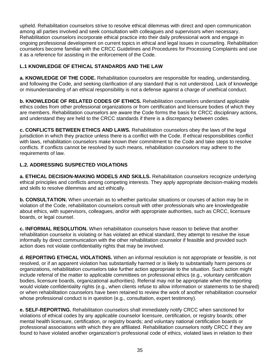upheld. Rehabilitation counselors strive to resolve ethical dilemmas with direct and open communication among all parties involved and seek consultation with colleagues and supervisors when necessary. Rehabilitation counselors incorporate ethical practice into their daily professional work and engage in ongoing professional development on current topics in ethical and legal issues in counseling. Rehabilitation counselors become familiar with the CRCC Guidelines and Procedures for Processing Complaints and use it as a reference for assisting in the enforcement of the Code.

#### **L.1 KNOWLEDGE OF ETHICAL STANDARDS AND THE LAW**

**a. KNOWLEDGE OF THE CODE.** Rehabilitation counselors are responsible for reading, understanding, and following the Code, and seeking clarification of any standard that is not understood. Lack of knowledge or misunderstanding of an ethical responsibility is not a defense against a charge of unethical conduct.

**b. KNOWLEDGE OF RELATED CODES OF ETHICS.** Rehabilitation counselors understand applicable ethics codes from other professional organizations or from certification and licensure bodies of which they are members. Rehabilitation counselors are aware the Code forms the basis for CRCC disciplinary actions, and understand they are held to the CRCC standards if there is a discrepancy between codes.

**c. CONFLICTS BETWEEN ETHICS AND LAWS.** Rehabilitation counselors obey the laws of the legal jurisdiction in which they practice unless there is a conflict with the Code. If ethical responsibilities conflict with laws, rehabilitation counselors make known their commitment to the Code and take steps to resolve conflicts. If conflicts cannot be resolved by such means, rehabilitation counselors may adhere to the requirements of law.

#### **L.2. ADDRESSING SUSPECTED VIOLATIONS**

**a. ETHICAL DECISION-MAKING MODELS AND SKILLS.** Rehabilitation counselors recognize underlying ethical principles and conflicts among competing interests. They apply appropriate decision-making models and skills to resolve dilemmas and act ethically.

**b. CONSULTATION.** When uncertain as to whether particular situations or courses of action may be in violation of the Code, rehabilitation counselors consult with other professionals who are knowledgeable about ethics, with supervisors, colleagues, and/or with appropriate authorities, such as CRCC, licensure boards, or legal counsel.

**c. INFORMAL RESOLUTION.** When rehabilitation counselors have reason to believe that another rehabilitation counselor is violating or has violated an ethical standard, they attempt to resolve the issue informally by direct communication with the other rehabilitation counselor if feasible and provided such action does not violate confidentiality rights that may be involved.

**d. REPORTING ETHICAL VIOLATIONS.** When an informal resolution is not appropriate or feasible, is not resolved, or if an apparent violation has substantially harmed or is likely to substantially harm persons or organizations, rehabilitation counselors take further action appropriate to the situation. Such action might include referral of the matter to applicable committees on professional ethics (e.g., voluntary certification bodies, licensure boards, organizational authorities). Referral may not be appropriate when the reporting would violate confidentiality rights (e.g., when clients refuse to allow information or statements to be shared) or when rehabilitation counselors have been retained to review the work of another rehabilitation counselor whose professional conduct is in question (e.g., consultation, expert testimony).

**e. SELF-REPORTING.** Rehabilitation counselors shall immediately notify CRCC when sanctioned for violations of ethical codes by any applicable counselor licensure, certification, or registry boards; other mental health licensure, certification, or registry boards; and voluntary national certification boards or professional associations with which they are affiliated. Rehabilitation counselors notify CRCC if they are found to have violated another organization's professional code of ethics, violated laws in relation to their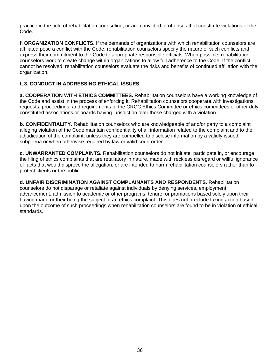practice in the field of rehabilitation counseling, or are convicted of offenses that constitute violations of the Code.

**f. ORGANIZATION CONFLICTS.** If the demands of organizations with which rehabilitation counselors are affiliated pose a conflict with the Code, rehabilitation counselors specify the nature of such conflicts and express their commitment to the Code to appropriate responsible officials. When possible, rehabilitation counselors work to create change within organizations to allow full adherence to the Code. If the conflict cannot be resolved, rehabilitation counselors evaluate the risks and benefits of continued affiliation with the organization.

#### **L.3. CONDUCT IN ADDRESSING ETHICAL ISSUES**

**a. COOPERATION WITH ETHICS COMMITTEES.** Rehabilitation counselors have a working knowledge of the Code and assist in the process of enforcing it. Rehabilitation counselors cooperate with investigations, requests, proceedings, and requirements of the CRCC Ethics Committee or ethics committees of other duly constituted associations or boards having jurisdiction over those charged with a violation.

**b. CONFIDENTIALITY.** Rehabilitation counselors who are knowledgeable of and/or party to a complaint alleging violation of the Code maintain confidentiality of all information related to the complaint and to the adjudication of the complaint, unless they are compelled to disclose information by a validly issued subpoena or when otherwise required by law or valid court order.

**c. UNWARRANTED COMPLAINTS.** Rehabilitation counselors do not initiate, participate in, or encourage the filing of ethics complaints that are retaliatory in nature, made with reckless disregard or willful ignorance of facts that would disprove the allegation, or are intended to harm rehabilitation counselors rather than to protect clients or the public.

**d. UNFAIR DISCRIMINATION AGAINST COMPLAINANTS AND RESPONDENTS.** Rehabilitation counselors do not disparage or retaliate against individuals by denying services, employment, advancement, admission to academic or other programs, tenure, or promotions based solely upon their having made or their being the subject of an ethics complaint. This does not preclude taking action based upon the outcome of such proceedings when rehabilitation counselors are found to be in violation of ethical standards.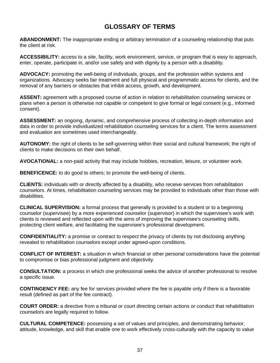## **GLOSSARY OF TERMS**

**ABANDONMENT:** The inappropriate ending or arbitrary termination of a counseling relationship that puts the client at risk.

**ACCESSIBILITY:** access to a site, facility, work environment, service, or program that is easy to approach, enter, operate, participate in, and/or use safely and with dignity by a person with a disability.

**ADVOCACY:** promoting the well-being of individuals, groups, and the profession within systems and organizations. Advocacy seeks fair treatment and full physical and programmatic access for clients, and the removal of any barriers or obstacles that inhibit access, growth, and development.

**ASSENT:** agreement with a proposed course of action in relation to rehabilitation counseling services or plans when a person is otherwise not capable or competent to give formal or legal consent (e.g., informed consent).

**ASSESSMENT:** an ongoing, dynamic, and comprehensive process of collecting in-depth information and data in order to provide individualized rehabilitation counseling services for a client. The terms assessment and evaluation are sometimes used interchangeably.

**AUTONOMY:** the right of clients to be self-governing within their social and cultural framework; the right of clients to make decisions on their own behalf.

**AVOCATIONAL:** a non-paid activity that may include hobbies, recreation, leisure, or volunteer work.

**BENEFICENCE:** to do good to others; to promote the well-being of clients.

**CLIENTS:** individuals with or directly affected by a disability, who receive services from rehabilitation counselors. At times, rehabilitation counseling services may be provided to individuals other than those with disabilities.

**CLINICAL SUPERVISION:** a formal process that generally is provided to a student or to a beginning counselor (supervisee) by a more experienced counselor (supervisor) in which the supervisee's work with clients is reviewed and reflected upon with the aims of improving the supervisee's counseling skills, protecting client welfare, and facilitating the supervisee's professional development.

**CONFIDENTIALITY:** a promise or contract to respect the privacy of clients by not disclosing anything revealed to rehabilitation counselors except under agreed-upon conditions.

**CONFLICT OF INTEREST:** a situation in which financial or other personal considerations have the potential to compromise or bias professional judgment and objectivity.

**CONSULTATION:** a process in which one professional seeks the advice of another professional to resolve a specific issue.

**CONTINGENCY FEE:** any fee for services provided where the fee is payable only if there is a favorable result (defined as part of the fee contract).

**COURT ORDER:** a directive from a tribunal or court directing certain actions or conduct that rehabilitation counselors are legally required to follow.

**CULTURAL COMPETENCE:** possessing a set of values and principles, and demonstrating behavior, attitude, knowledge, and skill that enable one to work effectively cross-culturally with the capacity to value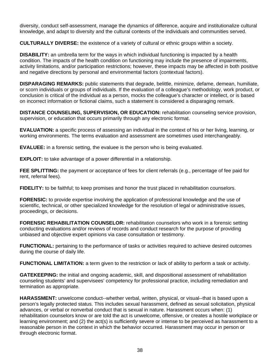diversity, conduct self-assessment, manage the dynamics of difference, acquire and institutionalize cultural knowledge, and adapt to diversity and the cultural contexts of the individuals and communities served.

**CULTURALLY DIVERSE:** the existence of a variety of cultural or ethnic groups within a society.

**DISABILITY:** an umbrella term for the ways in which individual functioning is impacted by a health condition. The impacts of the health condition on functioning may include the presence of impairments, activity limitations, and/or participation restrictions; however, these impacts may be affected in both positive and negative directions by personal and environmental factors (contextual factors).

**DISPARAGING REMARKS:** public statements that degrade, belittle, minimize, defame, demean, humiliate, or scorn individuals or groups of individuals. If the evaluation of a colleague's methodology, work product, or conclusion is critical of the individual as a person, mocks the colleague's character or intellect, or is based on incorrect information or fictional claims, such a statement is considered a disparaging remark.

**DISTANCE COUNSELING, SUPERVISION, OR EDUCATION:** rehabilitation counseling service provision, supervision, or education that occurs primarily through any electronic format.

**EVALUATION:** a specific process of assessing an individual in the context of his or her living, learning, or working environments. The terms evaluation and assessment are sometimes used interchangeably.

**EVALUEE:** in a forensic setting, the evaluee is the person who is being evaluated.

**EXPLOIT:** to take advantage of a power differential in a relationship.

**FEE SPLITTING:** the payment or acceptance of fees for client referrals (e.g., percentage of fee paid for rent, referral fees).

**FIDELITY:** to be faithful; to keep promises and honor the trust placed in rehabilitation counselors.

**FORENSIC:** to provide expertise involving the application of professional knowledge and the use of scientific, technical, or other specialized knowledge for the resolution of legal or administrative issues, proceedings, or decisions.

**FORENSIC REHABILITATION COUNSELOR:** rehabilitation counselors who work in a forensic setting conducting evaluations and/or reviews of records and conduct research for the purpose of providing unbiased and objective expert opinions via case consultation or testimony.

**FUNCTIONAL:** pertaining to the performance of tasks or activities required to achieve desired outcomes during the course of daily life.

**FUNCTIONAL LIMITATION:** a term given to the restriction or lack of ability to perform a task or activity.

**GATEKEEPING:** the initial and ongoing academic, skill, and dispositional assessment of rehabilitation counseling students' and supervisees' competency for professional practice, including remediation and termination as appropriate.

**HARASSMENT:** unwelcome conduct--whether verbal, written, physical, or visual--that is based upon a person's legally protected status. This includes sexual harassment, defined as sexual solicitation, physical advances, or verbal or nonverbal conduct that is sexual in nature. Harassment occurs when: (1) rehabilitation counselors know or are told the act is unwelcome, offensive, or creates a hostile workplace or learning environment; and (2) the act(s) is sufficiently severe or intense to be perceived as harassment to a reasonable person in the context in which the behavior occurred. Harassment may occur in person or through electronic format.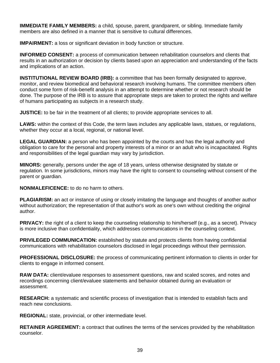**IMMEDIATE FAMILY MEMBERS:** a child, spouse, parent, grandparent, or sibling. Immediate family members are also defined in a manner that is sensitive to cultural differences.

**IMPAIRMENT:** a loss or significant deviation in body function or structure.

**INFORMED CONSENT:** a process of communication between rehabilitation counselors and clients that results in an authorization or decision by clients based upon an appreciation and understanding of the facts and implications of an action.

**INSTITUTIONAL REVIEW BOARD (IRB):** a committee that has been formally designated to approve, monitor, and review biomedical and behavioral research involving humans. The committee members often conduct some form of risk-benefit analysis in an attempt to determine whether or not research should be done. The purpose of the IRB is to assure that appropriate steps are taken to protect the rights and welfare of humans participating as subjects in a research study.

**JUSTICE:** to be fair in the treatment of all clients; to provide appropriate services to all.

**LAWS:** within the context of this Code, the term laws includes any applicable laws, statues, or regulations, whether they occur at a local, regional, or national level.

**LEGAL GUARDIAN:** a person who has been appointed by the courts and has the legal authority and obligation to care for the personal and property interests of a minor or an adult who is incapacitated. Rights and responsibilities of the legal guardian may vary by jurisdiction.

**MINORS:** generally, persons under the age of 18 years, unless otherwise designated by statute or regulation. In some jurisdictions, minors may have the right to consent to counseling without consent of the parent or guardian.

**NONMALEFICENCE:** to do no harm to others.

**PLAGIARISM:** an act or instance of using or closely imitating the language and thoughts of another author without authorization; the representation of that author's work as one's own without crediting the original author.

**PRIVACY:** the right of a client to keep the counseling relationship to him/herself (e.g., as a secret). Privacy is more inclusive than confidentiality, which addresses communications in the counseling context.

**PRIVILEGED COMMUNICATION:** established by statute and protects clients from having confidential communications with rehabilitation counselors disclosed in legal proceedings without their permission.

**PROFESSIONAL DISCLOSURE:** the process of communicating pertinent information to clients in order for clients to engage in informed consent.

**RAW DATA:** client/evaluee responses to assessment questions, raw and scaled scores, and notes and recordings concerning client/evaluee statements and behavior obtained during an evaluation or assessment.

**RESEARCH:** a systematic and scientific process of investigation that is intended to establish facts and reach new conclusions.

**REGIONAL:** state, provincial, or other intermediate level.

**RETAINER AGREEMENT:** a contract that outlines the terms of the services provided by the rehabilitation counselor.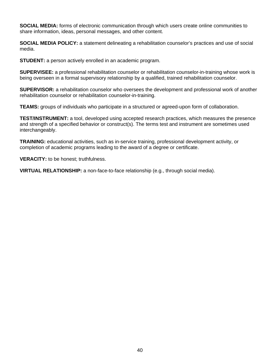**SOCIAL MEDIA:** forms of electronic communication through which users create online communities to share information, ideas, personal messages, and other content.

**SOCIAL MEDIA POLICY:** a statement delineating a rehabilitation counselor's practices and use of social media.

**STUDENT:** a person actively enrolled in an academic program.

**SUPERVISEE:** a professional rehabilitation counselor or rehabilitation counselor-in-training whose work is being overseen in a formal supervisory relationship by a qualified, trained rehabilitation counselor.

**SUPERVISOR:** a rehabilitation counselor who oversees the development and professional work of another rehabilitation counselor or rehabilitation counselor-in-training.

**TEAMS:** groups of individuals who participate in a structured or agreed-upon form of collaboration.

**TEST/INSTRUMENT:** a tool, developed using accepted research practices, which measures the presence and strength of a specified behavior or construct(s). The terms test and instrument are sometimes used interchangeably.

**TRAINING:** educational activities, such as in-service training, professional development activity, or completion of academic programs leading to the award of a degree or certificate.

**VERACITY:** to be honest; truthfulness.

**VIRTUAL RELATIONSHIP:** a non-face-to-face relationship (e.g., through social media).